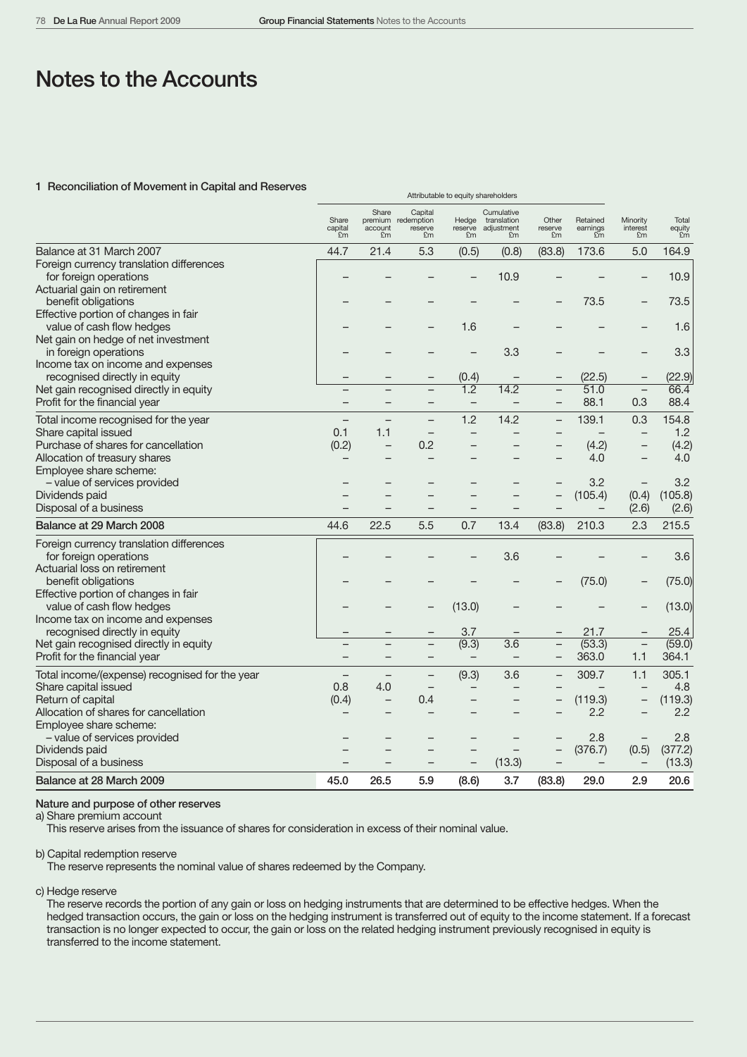Attributable to equity shareholders

# Notes to the Accounts

#### 1 Reconciliation of Movement in Capital and Reserves

|                                                                                                        | Share<br>capital<br>£m   | Share<br>account<br>£m   | Capital<br>premium redemption<br>reserve<br>£m | Hedge<br>reserve<br>£m | Cumulative<br>translation<br>adjustment<br>£m | Other<br>reserve<br>£m   | Retained<br>earnings<br>£m | Minority<br>interest<br>£m | Total<br>equity<br>Em |
|--------------------------------------------------------------------------------------------------------|--------------------------|--------------------------|------------------------------------------------|------------------------|-----------------------------------------------|--------------------------|----------------------------|----------------------------|-----------------------|
| Balance at 31 March 2007                                                                               | 44.7                     | 21.4                     | 5.3                                            | (0.5)                  | (0.8)                                         | (83.8)                   | 173.6                      | 5.0                        | 164.9                 |
| Foreign currency translation differences<br>for foreign operations                                     |                          |                          |                                                |                        | 10.9                                          |                          |                            |                            | 10.9                  |
| Actuarial gain on retirement<br>benefit obligations<br>Effective portion of changes in fair            |                          |                          |                                                |                        |                                               |                          | 73.5                       |                            | 73.5                  |
| value of cash flow hedges<br>Net gain on hedge of net investment                                       |                          |                          |                                                | 1.6                    |                                               |                          |                            |                            | 1.6                   |
| in foreign operations<br>Income tax on income and expenses                                             |                          |                          |                                                |                        | 3.3                                           |                          |                            |                            | 3.3                   |
| recognised directly in equity                                                                          |                          |                          | -                                              | (0.4)                  | <b>—</b>                                      | $\qquad \qquad -$        | (22.5)                     | -                          | (22.9)                |
| Net gain recognised directly in equity                                                                 |                          |                          |                                                | $\overline{1.2}$       | 14.2                                          |                          | 51.0                       | $\qquad \qquad -$          | 66.4                  |
| Profit for the financial year                                                                          |                          | ۰                        | -                                              | $\qquad \qquad -$      | $\overline{\phantom{0}}$                      | $\overline{\phantom{0}}$ | 88.1                       | 0.3                        | 88.4                  |
| Total income recognised for the year                                                                   |                          |                          |                                                | 1.2                    | 14.2                                          | $\overline{\phantom{0}}$ | 139.1                      | 0.3                        | 154.8                 |
| Share capital issued                                                                                   | 0.1                      | 1.1                      | $\overline{\phantom{m}}$                       | $\qquad \qquad -$      | $\overline{\phantom{0}}$                      | $\qquad \qquad -$        | $\overline{\phantom{0}}$   | $\qquad \qquad -$          | 1.2                   |
| Purchase of shares for cancellation                                                                    | (0.2)                    | $\overline{\phantom{0}}$ | 0.2                                            |                        |                                               |                          | (4.2)                      | —                          | (4.2)                 |
| Allocation of treasury shares                                                                          |                          |                          |                                                |                        |                                               |                          | 4.0                        |                            | 4.0                   |
| Employee share scheme:                                                                                 |                          |                          |                                                |                        |                                               |                          |                            |                            |                       |
| - value of services provided                                                                           |                          |                          |                                                |                        |                                               |                          | 3.2                        |                            | 3.2                   |
| Dividends paid                                                                                         |                          |                          |                                                |                        |                                               | $\overline{\phantom{0}}$ | (105.4)                    | (0.4)<br>(2.6)             | (105.8)               |
| Disposal of a business                                                                                 |                          |                          |                                                |                        |                                               |                          |                            |                            | (2.6)                 |
| Balance at 29 March 2008                                                                               | 44.6                     | 22.5                     | 5.5                                            | 0.7                    | 13.4                                          | (83.8)                   | 210.3                      | 2.3                        | 215.5                 |
| Foreign currency translation differences<br>for foreign operations                                     |                          |                          |                                                |                        | 3.6                                           |                          |                            |                            | 3.6                   |
| Actuarial loss on retirement<br>benefit obligations                                                    |                          |                          |                                                |                        |                                               |                          | (75.0)                     |                            | (75.0)                |
| Effective portion of changes in fair<br>value of cash flow hedges<br>Income tax on income and expenses |                          |                          |                                                | (13.0)                 |                                               |                          |                            |                            | (13.0)                |
| recognised directly in equity                                                                          |                          |                          |                                                | 3.7                    |                                               |                          | 21.7                       |                            | 25.4                  |
| Net gain recognised directly in equity                                                                 |                          |                          | $\overline{\phantom{0}}$                       | (9.3)                  | 3.6                                           | $\qquad \qquad -$        | (53.3)                     | $\qquad \qquad -$          | (59.0)                |
| Profit for the financial year                                                                          |                          |                          |                                                |                        | $\overline{\phantom{0}}$                      | $\overline{\phantom{m}}$ | 363.0                      | 1.1                        | 364.1                 |
| Total income/(expense) recognised for the year                                                         | $\overline{\phantom{0}}$ |                          |                                                | (9.3)                  | 3.6                                           | $\qquad \qquad -$        | 309.7                      | 1.1                        | 305.1                 |
| Share capital issued                                                                                   | 0.8                      | 4.0                      |                                                |                        |                                               |                          |                            |                            | 4.8                   |
| Return of capital                                                                                      | (0.4)                    | $\qquad \qquad -$        | 0.4                                            |                        |                                               |                          | (119.3)                    | $\overline{\phantom{0}}$   | (119.3)               |
| Allocation of shares for cancellation<br>Employee share scheme:                                        |                          |                          |                                                |                        |                                               |                          | 2.2                        |                            | 2.2                   |
| - value of services provided                                                                           |                          |                          |                                                |                        |                                               |                          | 2.8                        | $\qquad \qquad -$          | 2.8                   |
| Dividends paid                                                                                         |                          |                          |                                                |                        |                                               |                          | (376.7)                    | (0.5)                      | (377.2)               |
| Disposal of a business                                                                                 |                          |                          |                                                |                        | (13.3)                                        | $\qquad \qquad -$        | $\qquad \qquad -$          | -                          | (13.3)                |
| Balance at 28 March 2009                                                                               | 45.0                     | 26.5                     | 5.9                                            | (8.6)                  | 3.7                                           | (83.8)                   | 29.0                       | 2.9                        | 20.6                  |

### Nature and purpose of other reserves

a) Share premium account

This reserve arises from the issuance of shares for consideration in excess of their nominal value.

b) Capital redemption reserve

The reserve represents the nominal value of shares redeemed by the Company.

c) Hedge reserve

The reserve records the portion of any gain or loss on hedging instruments that are determined to be effective hedges. When the hedged transaction occurs, the gain or loss on the hedging instrument is transferred out of equity to the income statement. If a forecast transaction is no longer expected to occur, the gain or loss on the related hedging instrument previously recognised in equity is transferred to the income statement.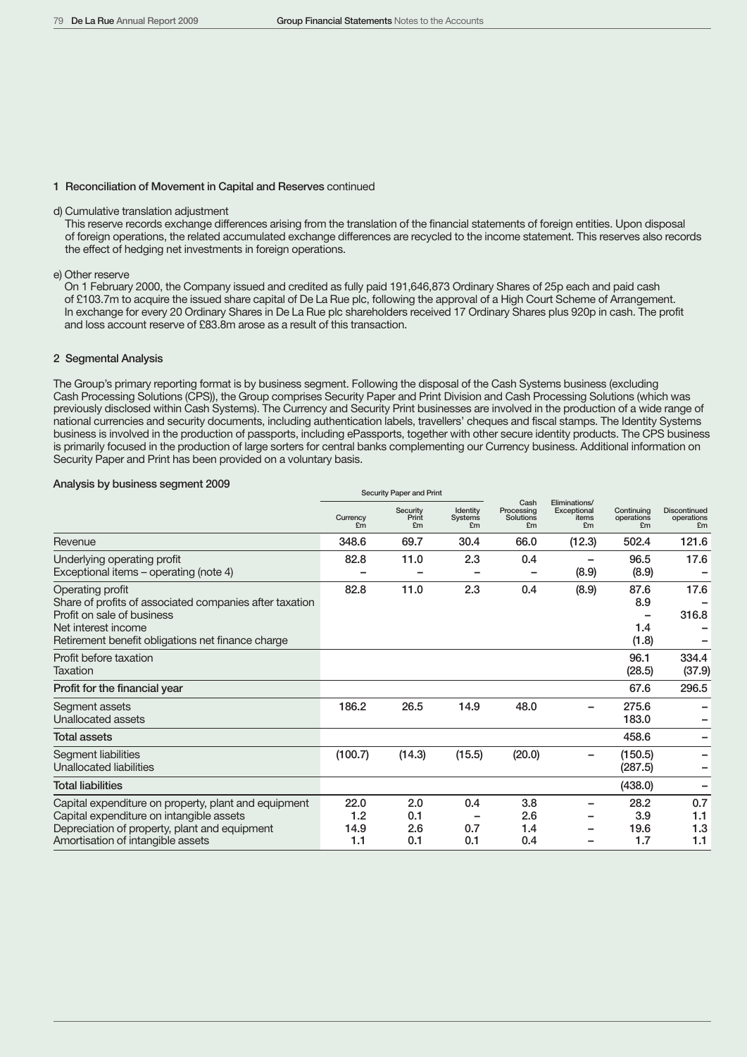#### 1 Reconciliation of Movement in Capital and Reserves continued

### d) Cumulative translation adjustment

This reserve records exchange differences arising from the translation of the financial statements of foreign entities. Upon disposal of foreign operations, the related accumulated exchange differences are recycled to the income statement. This reserves also records the effect of hedging net investments in foreign operations.

#### e) Other reserve

On 1 February 2000, the Company issued and credited as fully paid 191,646,873 Ordinary Shares of 25p each and paid cash of £103.7m to acquire the issued share capital of De La Rue plc, following the approval of a High Court Scheme of Arrangement. In exchange for every 20 Ordinary Shares in De La Rue plc shareholders received 17 Ordinary Shares plus 920p in cash. The profit and loss account reserve of £83.8m arose as a result of this transaction.

### 2 Segmental Analysis

The Group's primary reporting format is by business segment. Following the disposal of the Cash Systems business (excluding Cash Processing Solutions (CPS)), the Group comprises Security Paper and Print Division and Cash Processing Solutions (which was previously disclosed within Cash Systems). The Currency and Security Print businesses are involved in the production of a wide range of national currencies and security documents, including authentication labels, travellers' cheques and fiscal stamps. The Identity Systems business is involved in the production of passports, including ePassports, together with other secure identity products. The CPS business is primarily focused in the production of large sorters for central banks complementing our Currency business. Additional information on Security Paper and Print has been provided on a voluntary basis.

#### Analysis by business segment 2009

|                                                                                                                                                                                        |                            | Security Paper and Philit |                                  |                                       |                                             |                                |                                         |
|----------------------------------------------------------------------------------------------------------------------------------------------------------------------------------------|----------------------------|---------------------------|----------------------------------|---------------------------------------|---------------------------------------------|--------------------------------|-----------------------------------------|
|                                                                                                                                                                                        | Currency<br>E <sub>m</sub> | Security<br>Print<br>£m   | Identity<br><b>Systems</b><br>£m | Cash<br>Processing<br>Solutions<br>£m | Eliminations/<br>Exceptional<br>items<br>£m | Continuing<br>operations<br>£m | <b>Discontinued</b><br>operations<br>£m |
| Revenue                                                                                                                                                                                | 348.6                      | 69.7                      | 30.4                             | 66.0                                  | (12.3)                                      | 502.4                          | 121.6                                   |
| Underlying operating profit<br>Exceptional items – operating (note 4)                                                                                                                  | 82.8                       | 11.0                      | 2.3                              | 0.4                                   | (8.9)                                       | 96.5<br>(8.9)                  | 17.6                                    |
| Operating profit<br>Share of profits of associated companies after taxation<br>Profit on sale of business<br>Net interest income<br>Retirement benefit obligations net finance charge  | 82.8                       | 11.0                      | 2.3                              | 0.4                                   | (8.9)                                       | 87.6<br>8.9<br>1.4<br>(1.8)    | 17.6<br>316.8                           |
| Profit before taxation<br>Taxation                                                                                                                                                     |                            |                           |                                  |                                       |                                             | 96.1<br>(28.5)                 | 334.4<br>(37.9)                         |
| Profit for the financial year                                                                                                                                                          |                            |                           |                                  |                                       |                                             | 67.6                           | 296.5                                   |
| Segment assets<br>Unallocated assets                                                                                                                                                   | 186.2                      | 26.5                      | 14.9                             | 48.0                                  |                                             | 275.6<br>183.0                 |                                         |
| <b>Total assets</b>                                                                                                                                                                    |                            |                           |                                  |                                       |                                             | 458.6                          |                                         |
| Segment liabilities<br>Unallocated liabilities                                                                                                                                         | (100.7)                    | (14.3)                    | (15.5)                           | (20.0)                                |                                             | (150.5)<br>(287.5)             |                                         |
| <b>Total liabilities</b>                                                                                                                                                               |                            |                           |                                  |                                       |                                             | (438.0)                        |                                         |
| Capital expenditure on property, plant and equipment<br>Capital expenditure on intangible assets<br>Depreciation of property, plant and equipment<br>Amortisation of intangible assets | 22.0<br>1.2<br>14.9<br>1.1 | 2.0<br>0.1<br>2.6<br>0.1  | 0.4<br>0.7<br>0.1                | 3.8<br>2.6<br>1.4<br>0.4              |                                             | 28.2<br>3.9<br>19.6<br>1.7     | 0.7<br>1.1<br>1.3<br>1.1                |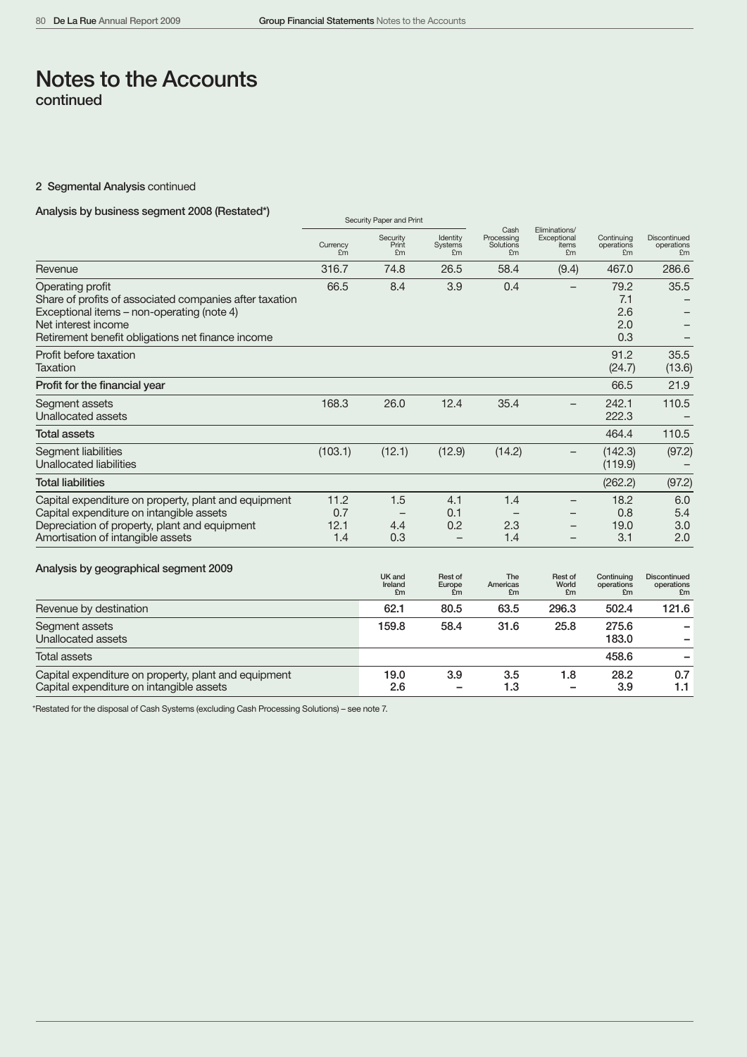# 2 Segmental Analysis continued

# Analysis by business segment 2008 (Restated\*)

|                                                                                                                                                                                                       |                            | OCCUTILY FAUCI AND FINIL |                                               |                                       |                                             |                                  |                                         |
|-------------------------------------------------------------------------------------------------------------------------------------------------------------------------------------------------------|----------------------------|--------------------------|-----------------------------------------------|---------------------------------------|---------------------------------------------|----------------------------------|-----------------------------------------|
|                                                                                                                                                                                                       | Currency<br>Fm             | Security<br>Print<br>£m  | Identity<br><b>Systems</b><br>£m              | Cash<br>Processing<br>Solutions<br>£m | Eliminations/<br>Exceptional<br>items<br>£m | Continuing<br>operations<br>£m   | <b>Discontinued</b><br>operations<br>£m |
| Revenue                                                                                                                                                                                               | 316.7                      | 74.8                     | 26.5                                          | 58.4                                  | (9.4)                                       | 467.0                            | 286.6                                   |
| Operating profit<br>Share of profits of associated companies after taxation<br>Exceptional items - non-operating (note 4)<br>Net interest income<br>Retirement benefit obligations net finance income | 66.5                       | 8.4                      | 3.9                                           | 0.4                                   |                                             | 79.2<br>7.1<br>2.6<br>2.0<br>0.3 | 35.5                                    |
| Profit before taxation<br><b>Taxation</b>                                                                                                                                                             |                            |                          |                                               |                                       |                                             | 91.2<br>(24.7)                   | 35.5<br>(13.6)                          |
| Profit for the financial year                                                                                                                                                                         |                            |                          |                                               |                                       |                                             | 66.5                             | 21.9                                    |
| Segment assets<br>Unallocated assets                                                                                                                                                                  | 168.3                      | 26.0                     | 12.4                                          | 35.4                                  | —                                           | 242.1<br>222.3                   | 110.5                                   |
| <b>Total assets</b>                                                                                                                                                                                   |                            |                          |                                               |                                       |                                             | 464.4                            | 110.5                                   |
| Segment liabilities<br><b>Unallocated liabilities</b>                                                                                                                                                 | (103.1)                    | (12.1)                   | (12.9)                                        | (14.2)                                |                                             | (142.3)<br>(119.9)               | (97.2)                                  |
| <b>Total liabilities</b>                                                                                                                                                                              |                            |                          |                                               |                                       |                                             | (262.2)                          | (97.2)                                  |
| Capital expenditure on property, plant and equipment<br>Capital expenditure on intangible assets<br>Depreciation of property, plant and equipment<br>Amortisation of intangible assets                | 11.2<br>0.7<br>12.1<br>1.4 | 1.5<br>4.4<br>0.3        | 4.1<br>0.1<br>0.2<br>$\overline{\phantom{0}}$ | 1.4<br>2.3<br>1.4                     |                                             | 18.2<br>0.8<br>19.0<br>3.1       | 6.0<br>5.4<br>3.0<br>2.0                |
| Analysis by geographical segment 2009                                                                                                                                                                 |                            | UK and<br>Ireland<br>£m  | Rest of<br>Europe<br>£m                       | The<br>Americas<br>£m                 | Rest of<br>World<br>£m                      | Continuina<br>operations<br>£m   | <b>Discontinued</b><br>operations<br>£m |
| Revenue by destination                                                                                                                                                                                |                            | 62.1                     | 80.5                                          | 63.5                                  | 296.3                                       | 502.4                            | 121.6                                   |
| Segment assets<br><b>Unallocated assets</b>                                                                                                                                                           |                            | 159.8                    | 58.4                                          | 31.6                                  | 25.8                                        | 275.6<br>183.0                   |                                         |
| <b>Total assets</b>                                                                                                                                                                                   |                            |                          |                                               |                                       |                                             | 458.6                            | -                                       |
| Capital expenditure on property, plant and equipment<br>Capital expenditure on intangible assets                                                                                                      |                            | 19.0<br>2.6              | 3.9                                           | 3.5<br>1.3                            | 1.8                                         | 28.2<br>3.9                      | 0.7<br>1.1                              |

\*Restated for the disposal of Cash Systems (excluding Cash Processing Solutions) – see note 7.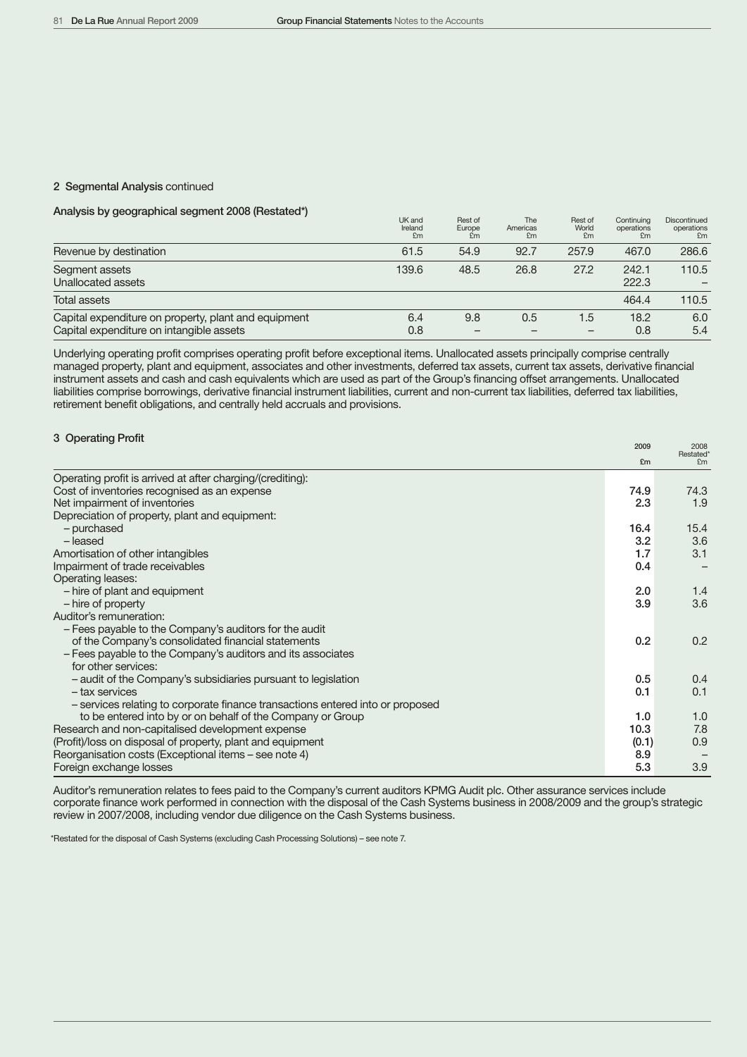#### 2 Segmental Analysis continued

# Analysis by geographical segment 2008 (Restated\*)

|                                                                                                  | UK and<br>Ireland<br>£m | Rest of<br>Europe<br>£m | The<br>Americas<br>£m | Rest of<br>World<br>£m | Continuina<br>operations<br>£m | Discontinued<br>operations<br>£m |
|--------------------------------------------------------------------------------------------------|-------------------------|-------------------------|-----------------------|------------------------|--------------------------------|----------------------------------|
| Revenue by destination                                                                           | 61.5                    | 54.9                    | 92.7                  | 257.9                  | 467.0                          | 286.6                            |
| Segment assets<br>Unallocated assets                                                             | 139.6                   | 48.5                    | 26.8                  | 27.2                   | 242.1<br>222.3                 | 110.5                            |
| <b>Total assets</b>                                                                              |                         |                         |                       |                        | 464.4                          | 110.5                            |
| Capital expenditure on property, plant and equipment<br>Capital expenditure on intangible assets | 6.4<br>0.8              | 9.8                     | 0.5                   | 1.5                    | 18.2<br>0.8                    | 6.0<br>5.4                       |

Underlying operating profit comprises operating profit before exceptional items. Unallocated assets principally comprise centrally managed property, plant and equipment, associates and other investments, deferred tax assets, current tax assets, derivative financial instrument assets and cash and cash equivalents which are used as part of the Group's financing offset arrangements. Unallocated liabilities comprise borrowings, derivative financial instrument liabilities, current and non-current tax liabilities, deferred tax liabilities, retirement benefit obligations, and centrally held accruals and provisions.

# <sup>3</sup> Operating Profit 2009 <sup>2008</sup>

|                                                                                | £m    | Restated*<br>F <sub>m</sub> |
|--------------------------------------------------------------------------------|-------|-----------------------------|
| Operating profit is arrived at after charging/(crediting):                     |       |                             |
| Cost of inventories recognised as an expense                                   | 74.9  | 74.3                        |
| Net impairment of inventories                                                  | 2.3   | 1.9                         |
| Depreciation of property, plant and equipment:                                 |       |                             |
| - purchased                                                                    | 16.4  | 15.4                        |
| - leased                                                                       | 3.2   | 3.6                         |
| Amortisation of other intangibles                                              | 1.7   | 3.1                         |
| Impairment of trade receivables                                                | 0.4   |                             |
| Operating leases:                                                              |       |                             |
| - hire of plant and equipment                                                  | 2.0   | 1.4                         |
| - hire of property                                                             | 3.9   | 3.6                         |
| Auditor's remuneration:                                                        |       |                             |
| - Fees payable to the Company's auditors for the audit                         |       |                             |
| of the Company's consolidated financial statements                             | 0.2   | 0.2                         |
| - Fees payable to the Company's auditors and its associates                    |       |                             |
| for other services:                                                            |       |                             |
| - audit of the Company's subsidiaries pursuant to legislation                  | 0.5   | 0.4                         |
| - tax services                                                                 | 0.1   | 0.1                         |
| - services relating to corporate finance transactions entered into or proposed |       |                             |
| to be entered into by or on behalf of the Company or Group                     | 1.0   | 1.0                         |
| Research and non-capitalised development expense                               | 10.3  | 7.8                         |
| (Profit)/loss on disposal of property, plant and equipment                     | (0.1) | 0.9                         |
| Reorganisation costs (Exceptional items – see note 4)                          | 8.9   |                             |
| Foreign exchange losses                                                        | 5.3   | 3.9                         |

Auditor's remuneration relates to fees paid to the Company's current auditors KPMG Audit plc. Other assurance services include corporate finance work performed in connection with the disposal of the Cash Systems business in 2008/2009 and the group's strategic review in 2007/2008, including vendor due diligence on the Cash Systems business.

\*Restated for the disposal of Cash Systems (excluding Cash Processing Solutions) – see note 7.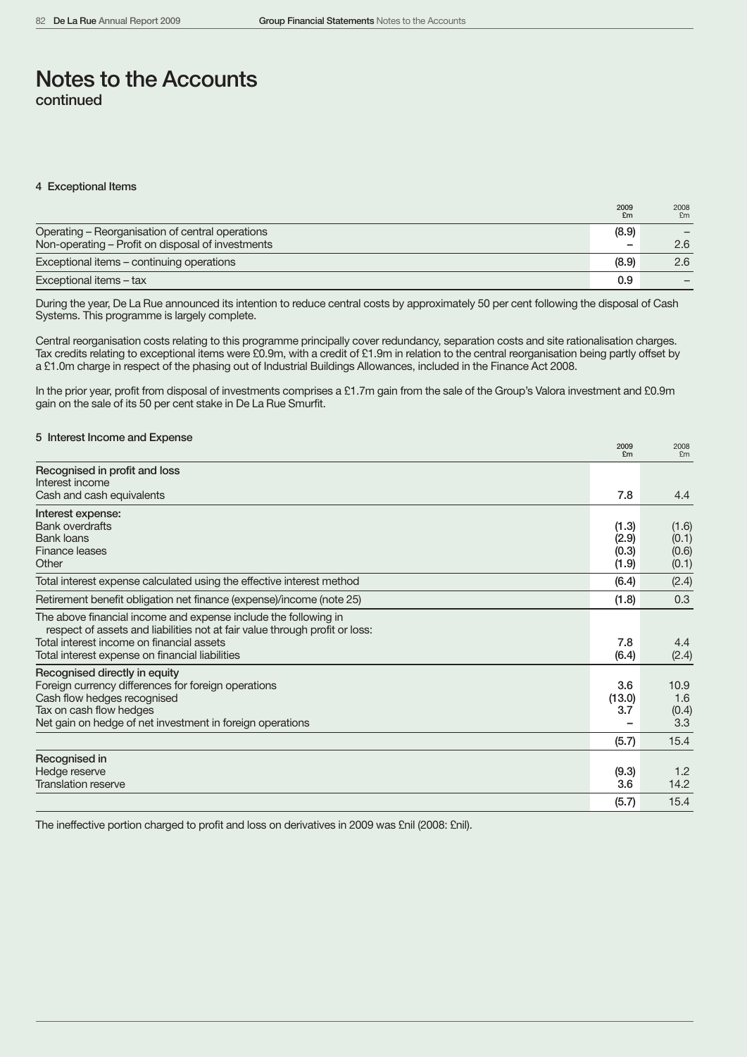#### 4 Exceptional Items

|                                                   | 2009<br>£m               | 2008<br>£m |
|---------------------------------------------------|--------------------------|------------|
| Operating - Reorganisation of central operations  | (8.9)                    |            |
| Non-operating - Profit on disposal of investments | $\overline{\phantom{a}}$ | 2.6        |
| Exceptional items - continuing operations         | (8.9)                    | 2.6        |
| Exceptional items - tax                           | 0.9                      |            |

During the year, De La Rue announced its intention to reduce central costs by approximately 50 per cent following the disposal of Cash Systems. This programme is largely complete.

Central reorganisation costs relating to this programme principally cover redundancy, separation costs and site rationalisation charges. Tax credits relating to exceptional items were £0.9m, with a credit of £1.9m in relation to the central reorganisation being partly offset by a £1.0m charge in respect of the phasing out of Industrial Buildings Allowances, included in the Finance Act 2008.

In the prior year, profit from disposal of investments comprises a £1.7m gain from the sale of the Group's Valora investment and £0.9m gain on the sale of its 50 per cent stake in De La Rue Smurfit.

| 5 Interest Income and Expense                                                                                                                  | 2009           | 2008           |
|------------------------------------------------------------------------------------------------------------------------------------------------|----------------|----------------|
|                                                                                                                                                | E <sub>m</sub> | £m             |
| Recognised in profit and loss                                                                                                                  |                |                |
| Interest income<br>Cash and cash equivalents                                                                                                   | 7.8            | 4.4            |
|                                                                                                                                                |                |                |
| Interest expense:<br><b>Bank overdrafts</b>                                                                                                    |                |                |
| <b>Bank loans</b>                                                                                                                              | (1.3)<br>(2.9) | (1.6)<br>(0.1) |
| Finance leases                                                                                                                                 | (0.3)          | (0.6)          |
| Other                                                                                                                                          | (1.9)          | (0.1)          |
| Total interest expense calculated using the effective interest method                                                                          | (6.4)          | (2.4)          |
| Retirement benefit obligation net finance (expense)/income (note 25)                                                                           | (1.8)          | 0.3            |
| The above financial income and expense include the following in<br>respect of assets and liabilities not at fair value through profit or loss: |                |                |
| Total interest income on financial assets                                                                                                      | 7.8            | 4.4            |
| Total interest expense on financial liabilities                                                                                                | (6.4)          | (2.4)          |
| Recognised directly in equity                                                                                                                  |                |                |
| Foreign currency differences for foreign operations                                                                                            | 3.6            | 10.9           |
| Cash flow hedges recognised                                                                                                                    | (13.0)         | 1.6            |
| Tax on cash flow hedges                                                                                                                        | 3.7            | (0.4)          |
| Net gain on hedge of net investment in foreign operations                                                                                      |                | 3.3            |
|                                                                                                                                                | (5.7)          | 15.4           |
| Recognised in                                                                                                                                  |                |                |
| Hedge reserve                                                                                                                                  | (9.3)          | 1.2            |
| <b>Translation reserve</b>                                                                                                                     | 3.6            | 14.2           |
|                                                                                                                                                | (5.7)          | 15.4           |

The ineffective portion charged to profit and loss on derivatives in 2009 was £nil (2008: £nil).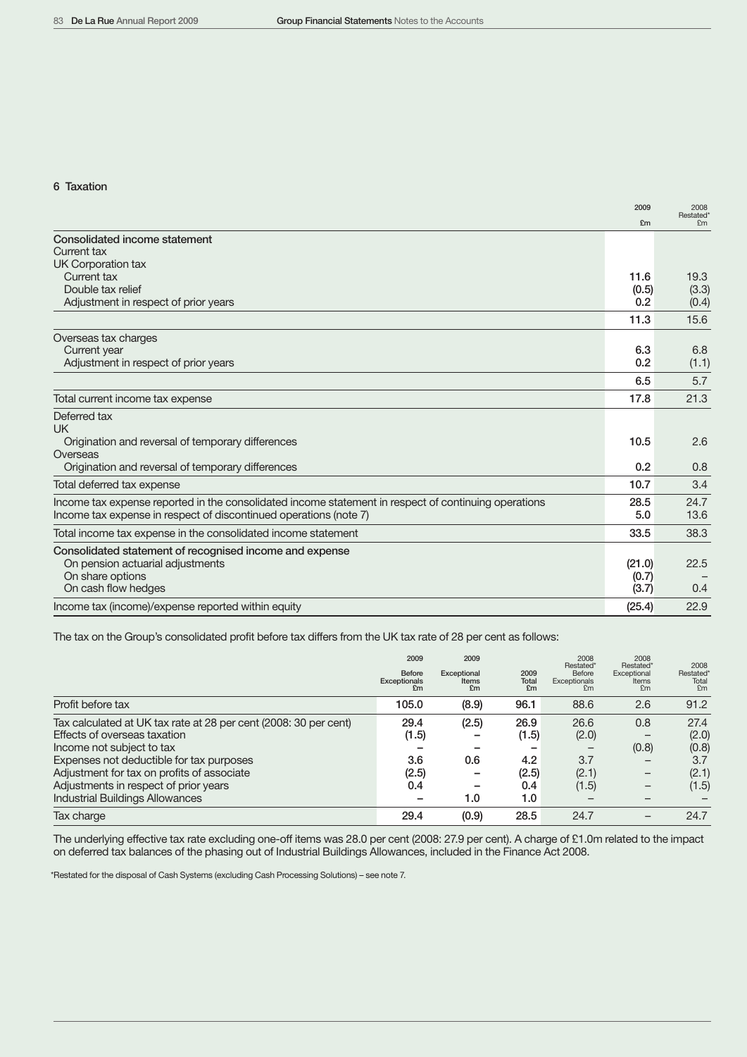### 6 Taxation

| £m<br>£m<br>Current tax<br>11.6<br>Double tax relief<br>(0.5)<br>Adjustment in respect of prior years<br>0.2<br>15.6<br>11.3<br>6.3<br>6.8<br>Current year<br>Adjustment in respect of prior years<br>0.2<br>6.5<br>5.7<br>21.3<br>17.8<br>2.6<br>10.5<br>Origination and reversal of temporary differences<br>Origination and reversal of temporary differences<br>0.2<br>0.8<br>3.4<br>10.7<br>Income tax expense reported in the consolidated income statement in respect of continuing operations<br>24.7<br>28.5<br>13.6<br>5.0<br>33.5<br>38.3<br>On pension actuarial adjustments<br>(21.0)<br>22.5<br>On share options<br>(0.7)<br>On cash flow hedges<br>(3.7)<br>0.4<br>22.9<br>(25.4) |                                                                   | 2009 | 2008      |
|--------------------------------------------------------------------------------------------------------------------------------------------------------------------------------------------------------------------------------------------------------------------------------------------------------------------------------------------------------------------------------------------------------------------------------------------------------------------------------------------------------------------------------------------------------------------------------------------------------------------------------------------------------------------------------------------------|-------------------------------------------------------------------|------|-----------|
|                                                                                                                                                                                                                                                                                                                                                                                                                                                                                                                                                                                                                                                                                                  |                                                                   |      | Restated* |
|                                                                                                                                                                                                                                                                                                                                                                                                                                                                                                                                                                                                                                                                                                  | Consolidated income statement                                     |      |           |
|                                                                                                                                                                                                                                                                                                                                                                                                                                                                                                                                                                                                                                                                                                  | Current tax                                                       |      |           |
|                                                                                                                                                                                                                                                                                                                                                                                                                                                                                                                                                                                                                                                                                                  | UK Corporation tax                                                |      |           |
|                                                                                                                                                                                                                                                                                                                                                                                                                                                                                                                                                                                                                                                                                                  |                                                                   |      | 19.3      |
|                                                                                                                                                                                                                                                                                                                                                                                                                                                                                                                                                                                                                                                                                                  |                                                                   |      | (3.3)     |
|                                                                                                                                                                                                                                                                                                                                                                                                                                                                                                                                                                                                                                                                                                  |                                                                   |      | (0.4)     |
|                                                                                                                                                                                                                                                                                                                                                                                                                                                                                                                                                                                                                                                                                                  |                                                                   |      |           |
|                                                                                                                                                                                                                                                                                                                                                                                                                                                                                                                                                                                                                                                                                                  | Overseas tax charges                                              |      |           |
|                                                                                                                                                                                                                                                                                                                                                                                                                                                                                                                                                                                                                                                                                                  |                                                                   |      |           |
|                                                                                                                                                                                                                                                                                                                                                                                                                                                                                                                                                                                                                                                                                                  |                                                                   |      | (1.1)     |
|                                                                                                                                                                                                                                                                                                                                                                                                                                                                                                                                                                                                                                                                                                  |                                                                   |      |           |
|                                                                                                                                                                                                                                                                                                                                                                                                                                                                                                                                                                                                                                                                                                  | Total current income tax expense                                  |      |           |
|                                                                                                                                                                                                                                                                                                                                                                                                                                                                                                                                                                                                                                                                                                  | Deferred tax                                                      |      |           |
|                                                                                                                                                                                                                                                                                                                                                                                                                                                                                                                                                                                                                                                                                                  | UK                                                                |      |           |
|                                                                                                                                                                                                                                                                                                                                                                                                                                                                                                                                                                                                                                                                                                  |                                                                   |      |           |
|                                                                                                                                                                                                                                                                                                                                                                                                                                                                                                                                                                                                                                                                                                  | Overseas                                                          |      |           |
|                                                                                                                                                                                                                                                                                                                                                                                                                                                                                                                                                                                                                                                                                                  |                                                                   |      |           |
|                                                                                                                                                                                                                                                                                                                                                                                                                                                                                                                                                                                                                                                                                                  | Total deferred tax expense                                        |      |           |
|                                                                                                                                                                                                                                                                                                                                                                                                                                                                                                                                                                                                                                                                                                  |                                                                   |      |           |
|                                                                                                                                                                                                                                                                                                                                                                                                                                                                                                                                                                                                                                                                                                  | Income tax expense in respect of discontinued operations (note 7) |      |           |
|                                                                                                                                                                                                                                                                                                                                                                                                                                                                                                                                                                                                                                                                                                  | Total income tax expense in the consolidated income statement     |      |           |
|                                                                                                                                                                                                                                                                                                                                                                                                                                                                                                                                                                                                                                                                                                  | Consolidated statement of recognised income and expense           |      |           |
|                                                                                                                                                                                                                                                                                                                                                                                                                                                                                                                                                                                                                                                                                                  |                                                                   |      |           |
|                                                                                                                                                                                                                                                                                                                                                                                                                                                                                                                                                                                                                                                                                                  |                                                                   |      |           |
|                                                                                                                                                                                                                                                                                                                                                                                                                                                                                                                                                                                                                                                                                                  |                                                                   |      |           |
|                                                                                                                                                                                                                                                                                                                                                                                                                                                                                                                                                                                                                                                                                                  | Income tax (income)/expense reported within equity                |      |           |

The tax on the Group's consolidated profit before tax differs from the UK tax rate of 28 per cent as follows:

|                                                                  | 2009<br>Before<br>Exceptionals<br>£m | 2009<br>Exceptional<br>Items<br>£m | 2009<br><b>Total</b><br>£m | 2008<br>Restated*<br>Before<br>Exceptionals<br>F <sub>m</sub> | 2008<br>Restated*<br>Exceptional<br>Items<br>£m | 2008<br>Restated*<br>Total<br>F <sub>m</sub> |
|------------------------------------------------------------------|--------------------------------------|------------------------------------|----------------------------|---------------------------------------------------------------|-------------------------------------------------|----------------------------------------------|
| Profit before tax                                                | 105.0                                | (8.9)                              | 96.1                       | 88.6                                                          | 2.6                                             | 91.2                                         |
| Tax calculated at UK tax rate at 28 per cent (2008: 30 per cent) | 29.4                                 | (2.5)                              | 26.9                       | 26.6                                                          | 0.8                                             | 27.4                                         |
| Effects of overseas taxation                                     | (1.5)                                |                                    | (1.5)                      | (2.0)                                                         |                                                 | (2.0)                                        |
| Income not subject to tax                                        |                                      |                                    |                            |                                                               | (0.8)                                           | (0.8)                                        |
| Expenses not deductible for tax purposes                         | 3.6                                  | 0.6                                | 4.2                        | 3.7                                                           | -                                               | 3.7                                          |
| Adjustment for tax on profits of associate                       | (2.5)                                |                                    | (2.5)                      | (2.1)                                                         | $\qquad \qquad$                                 | (2.1)                                        |
| Adjustments in respect of prior years                            | 0.4                                  | -                                  | 0.4                        | (1.5)                                                         | -                                               | (1.5)                                        |
| <b>Industrial Buildings Allowances</b>                           |                                      | 1.0                                | 1.0                        |                                                               |                                                 |                                              |
| Tax charge                                                       | 29.4                                 | (0.9)                              | 28.5                       | 24.7                                                          |                                                 | 24.7                                         |

The underlying effective tax rate excluding one-off items was 28.0 per cent (2008: 27.9 per cent). A charge of £1.0m related to the impact on deferred tax balances of the phasing out of Industrial Buildings Allowances, included in the Finance Act 2008.

\*Restated for the disposal of Cash Systems (excluding Cash Processing Solutions) – see note 7.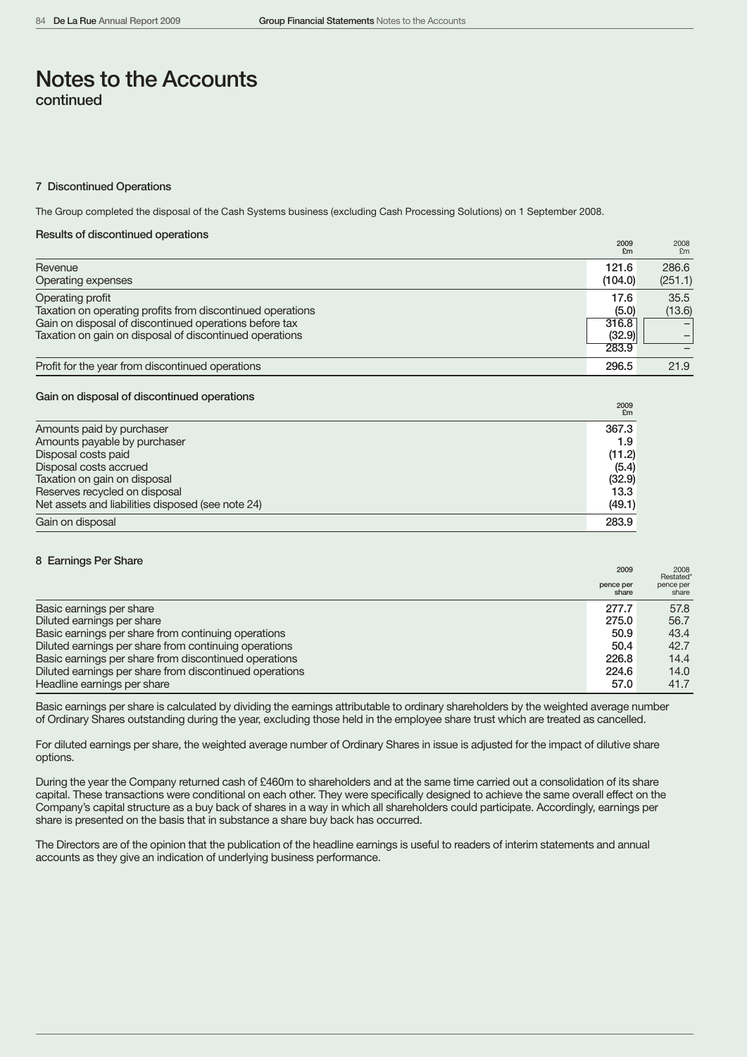#### 7 Discontinued Operations

The Group completed the disposal of the Cash Systems business (excluding Cash Processing Solutions) on 1 September 2008.

#### Results of discontinued operations

|                                                            | 2009<br>E <sub>m</sub> | 2008<br>F <sub>m</sub> |
|------------------------------------------------------------|------------------------|------------------------|
| Revenue                                                    | 121.6                  | 286.6                  |
| Operating expenses                                         | (104.0)                | (251.1)                |
| Operating profit                                           | 17.6                   | 35.5                   |
| Taxation on operating profits from discontinued operations | (5.0)                  | (13.6)                 |
| Gain on disposal of discontinued operations before tax     | 316.8                  |                        |
| Taxation on gain on disposal of discontinued operations    | (32.9)                 |                        |
|                                                            | 283.9                  |                        |
| Profit for the year from discontinued operations           | 296.5                  | 21.9                   |

# Gain on disposal of discontinued operations <sup>2009</sup>

|                                                   | Em     |
|---------------------------------------------------|--------|
| Amounts paid by purchaser                         | 367.3  |
| Amounts payable by purchaser                      | 1.9    |
| Disposal costs paid                               | (11.2) |
| Disposal costs accrued                            | (5.4)  |
| Taxation on gain on disposal                      | (32.9) |
| Reserves recycled on disposal                     | 13.3   |
| Net assets and liabilities disposed (see note 24) | (49.1) |
| Gain on disposal                                  | 283.9  |

| 8 Earnings Per Share                                    | 2009               | 2008<br>Restated*  |
|---------------------------------------------------------|--------------------|--------------------|
|                                                         | pence per<br>share | pence per<br>share |
| Basic earnings per share                                | 277.7              | 57.8               |
| Diluted earnings per share                              | 275.0              | 56.7               |
| Basic earnings per share from continuing operations     | 50.9               | 43.4               |
| Diluted earnings per share from continuing operations   | 50.4               | 42.7               |
| Basic earnings per share from discontinued operations   | 226.8              | 14.4               |
| Diluted earnings per share from discontinued operations | 224.6              | 14.0               |
| Headline earnings per share                             | 57.0               | 41.7               |

Basic earnings per share is calculated by dividing the earnings attributable to ordinary shareholders by the weighted average number of Ordinary Shares outstanding during the year, excluding those held in the employee share trust which are treated as cancelled.

For diluted earnings per share, the weighted average number of Ordinary Shares in issue is adjusted for the impact of dilutive share options.

During the year the Company returned cash of £460m to shareholders and at the same time carried out a consolidation of its share capital. These transactions were conditional on each other. They were specifically designed to achieve the same overall effect on the Company's capital structure as a buy back of shares in a way in which all shareholders could participate. Accordingly, earnings per share is presented on the basis that in substance a share buy back has occurred.

The Directors are of the opinion that the publication of the headline earnings is useful to readers of interim statements and annual accounts as they give an indication of underlying business performance.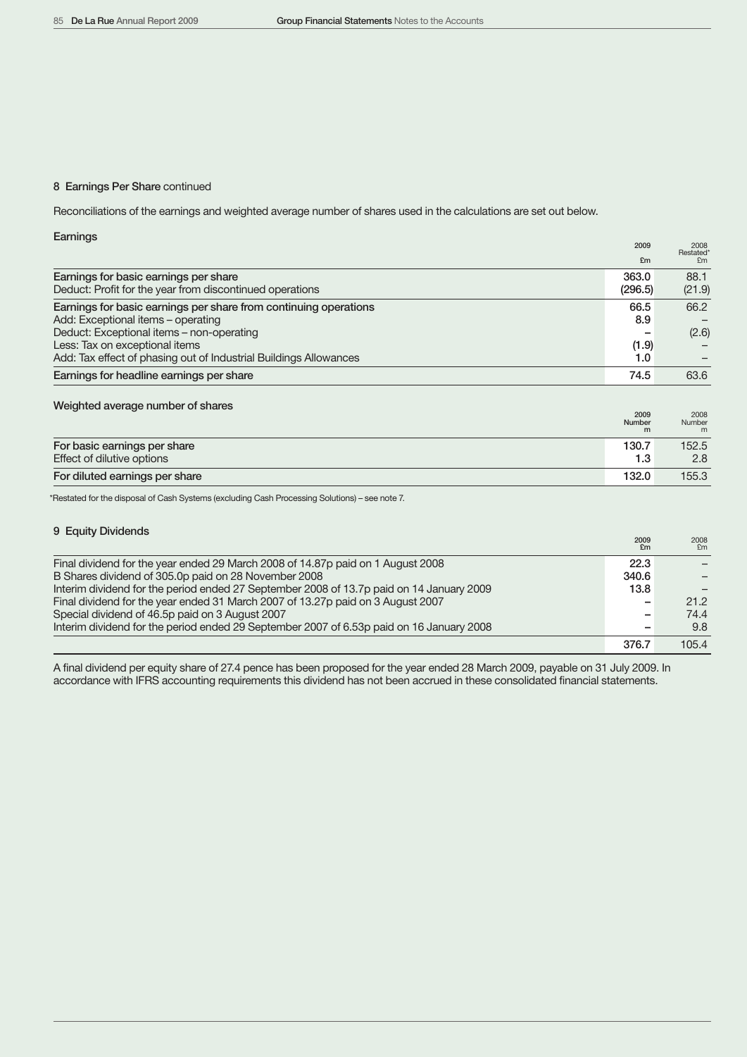### 8 Earnings Per Share continued

Reconciliations of the earnings and weighted average number of shares used in the calculations are set out below.

| Earnings                                                          |         |                   |
|-------------------------------------------------------------------|---------|-------------------|
|                                                                   | 2009    | 2008<br>Restated* |
|                                                                   | £m      | F <sub>m</sub>    |
| Earnings for basic earnings per share                             | 363.0   | 88.1              |
| Deduct: Profit for the year from discontinued operations          | (296.5) | (21.9)            |
| Earnings for basic earnings per share from continuing operations  | 66.5    | 66.2              |
| Add: Exceptional items - operating                                | 8.9     |                   |
| Deduct: Exceptional items - non-operating                         |         | (2.6)             |
| Less: Tax on exceptional items                                    | (1.9)   |                   |
| Add: Tax effect of phasing out of Industrial Buildings Allowances | 1.0     |                   |
| Earnings for headline earnings per share                          | 74.5    | 63.6              |

# Weighted average number of shares <sup>2009</sup> <sup>2008</sup> Number Number <sup>m</sup> <sup>m</sup>

|                                                            | ----<br>Number<br>m | ----<br>Number<br>m |
|------------------------------------------------------------|---------------------|---------------------|
| For basic earnings per share<br>Effect of dilutive options | 130.7<br>1.3        | 152.5<br>2.8        |
| For diluted earnings per share                             | 132.0               | 155.3               |

\*Restated for the disposal of Cash Systems (excluding Cash Processing Solutions) – see note 7.

| 9 Equity Dividends                                                                       |            |            |
|------------------------------------------------------------------------------------------|------------|------------|
|                                                                                          | 2009<br>£m | 2008<br>Em |
| Final dividend for the year ended 29 March 2008 of 14.87p paid on 1 August 2008          | 22.3       |            |
| B Shares dividend of 305.0p paid on 28 November 2008                                     | 340.6      |            |
| Interim dividend for the period ended 27 September 2008 of 13.7p paid on 14 January 2009 | 13.8       |            |
| Final dividend for the year ended 31 March 2007 of 13.27p paid on 3 August 2007          |            | 21.2       |
| Special dividend of 46.5p paid on 3 August 2007                                          |            | 74.4       |
| Interim dividend for the period ended 29 September 2007 of 6.53p paid on 16 January 2008 |            | 9.8        |
|                                                                                          | 376.7      | 105.4      |

A final dividend per equity share of 27.4 pence has been proposed for the year ended 28 March 2009, payable on 31 July 2009. In accordance with IFRS accounting requirements this dividend has not been accrued in these consolidated financial statements.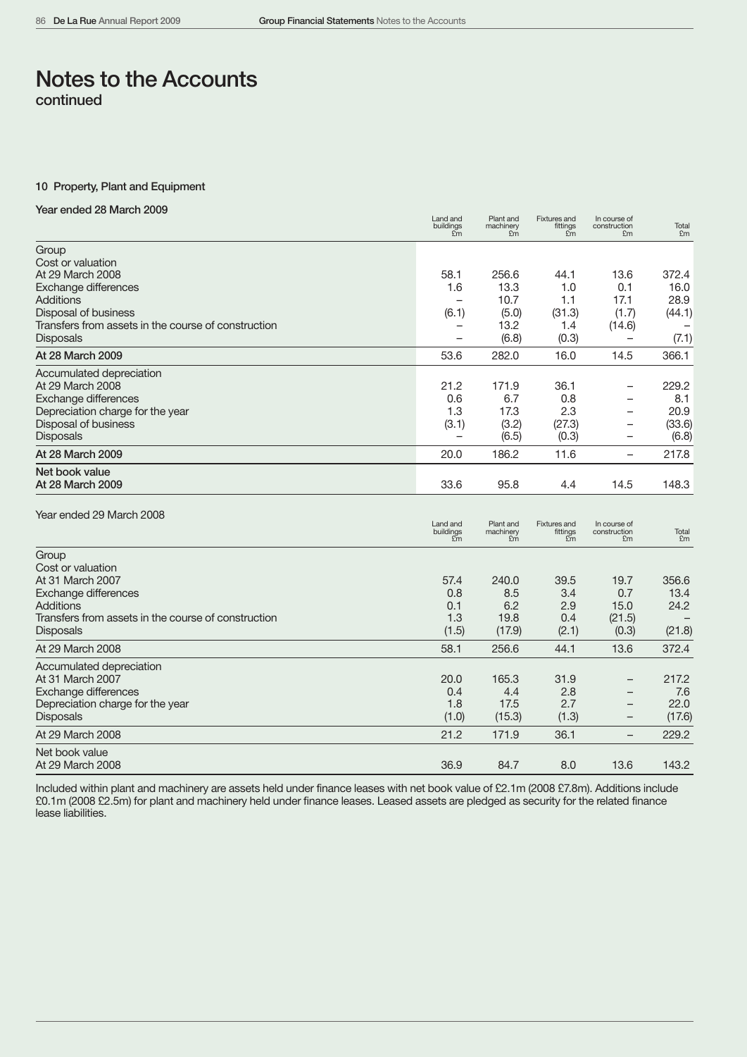### 10 Property, Plant and Equipment

# Year ended 28 March 2009

|                                                                  | בטווט טווט<br>buildings | machinery<br>£m<br>£m                                        | ו ואנשו פס מו וע<br>fittings<br>£m                     | 11 UUU JU UI<br>construction<br>£m                   | Total<br>£m |
|------------------------------------------------------------------|-------------------------|--------------------------------------------------------------|--------------------------------------------------------|------------------------------------------------------|-------------|
| Group<br>Cost or valuation                                       |                         |                                                              |                                                        |                                                      |             |
| At 29 March 2008                                                 |                         | 58.1<br>256.6                                                | 44.1                                                   | 13.6                                                 | 372.4       |
| Exchange differences                                             |                         | 13.3<br>1.6                                                  | 1.0                                                    | 0.1                                                  | 16.0        |
| Additions                                                        |                         | 10.7                                                         | 1.1                                                    | 17.1                                                 | 28.9        |
| Disposal of business                                             |                         | (5.0)<br>(6.1)                                               | (31.3)                                                 | (1.7)                                                | (44.1)      |
| Transfers from assets in the course of construction              |                         | 13.2<br>-                                                    | 1.4                                                    | (14.6)                                               |             |
| <b>Disposals</b>                                                 |                         | (6.8)                                                        | (0.3)                                                  |                                                      | (7.1)       |
| At 28 March 2009                                                 |                         | 53.6<br>282.0                                                | 16.0                                                   | 14.5                                                 | 366.1       |
| Accumulated depreciation                                         |                         |                                                              |                                                        |                                                      |             |
| At 29 March 2008                                                 |                         | 21.2<br>171.9                                                | 36.1                                                   | $\overline{\phantom{0}}$                             | 229.2       |
| <b>Exchange differences</b>                                      |                         | 0.6<br>6.7<br>1.3<br>17.3                                    | 0.8<br>2.3                                             | $\overline{\phantom{0}}$<br>$\overline{\phantom{0}}$ | 8.1<br>20.9 |
| Depreciation charge for the year<br>Disposal of business         |                         | (3.2)<br>(3.1)                                               | (27.3)                                                 | $\overline{\phantom{0}}$                             | (33.6)      |
| <b>Disposals</b>                                                 |                         | (6.5)                                                        | (0.3)                                                  | $\overline{\phantom{0}}$                             | (6.8)       |
| At 28 March 2009                                                 |                         | 20.0<br>186.2                                                | 11.6                                                   | $\overline{\phantom{0}}$                             | 217.8       |
| Net book value<br>At 28 March 2009                               |                         | 33.6<br>95.8                                                 | 4.4                                                    | 14.5                                                 | 148.3       |
| Year ended 29 March 2008                                         |                         |                                                              |                                                        |                                                      |             |
|                                                                  | Land and<br>buildings   | Plant and<br>machinery<br>$\tilde{\text{Em}}$<br>$E_{\rm m}$ | <b>Fixtures and</b><br>fittings<br>$\tilde{f}_{\rm m}$ | In course of<br>construction<br>£m                   | Total<br>£m |
| Group                                                            |                         |                                                              |                                                        |                                                      |             |
| Cost or valuation                                                |                         |                                                              |                                                        |                                                      |             |
| At 31 March 2007                                                 |                         | 57.4<br>240.0                                                | 39.5                                                   | 19.7                                                 | 356.6       |
| Exchange differences                                             |                         | 8.5<br>0.8                                                   | 3.4                                                    | 0.7                                                  | 13.4        |
| Additions<br>Transfers from assets in the course of construction |                         | 6.2<br>0.1<br>1.3<br>19.8                                    | 2.9<br>0.4                                             | 15.0<br>(21.5)                                       | 24.2        |
| <b>Disposals</b>                                                 |                         | (1.5)<br>(17.9)                                              | (2.1)                                                  | (0.3)                                                | (21.8)      |
| At 29 March 2008                                                 |                         | 58.1<br>256.6                                                | 44.1                                                   | 13.6                                                 | 372.4       |
| Accumulated depreciation                                         |                         |                                                              |                                                        |                                                      |             |
| At 31 March 2007                                                 |                         | 20.0<br>165.3                                                | 31.9                                                   | $\qquad \qquad -$                                    | 217.2       |
| <b>Exchange differences</b>                                      |                         | 0.4<br>4.4                                                   | 2.8                                                    | $\overline{\phantom{0}}$                             | 7.6         |
| Depreciation charge for the year                                 |                         | 1.8<br>17.5                                                  | 2.7                                                    | $\overline{\phantom{0}}$                             | 22.0        |
| <b>Disposals</b>                                                 |                         | (1.0)<br>(15.3)                                              | (1.3)                                                  | —                                                    | (17.6)      |
| At 29 March 2008                                                 |                         | 21.2<br>171.9                                                | 36.1                                                   | $\overline{\phantom{0}}$                             | 229.2       |
| Net book value                                                   |                         |                                                              |                                                        |                                                      |             |
| At 29 March 2008                                                 |                         | 36.9<br>84.7                                                 | 8.0                                                    | 13.6                                                 | 143.2       |

Included within plant and machinery are assets held under finance leases with net book value of £2.1m (2008 £7.8m). Additions include £0.1m (2008 £2.5m) for plant and machinery held under finance leases. Leased assets are pledged as security for the related finance lease liabilities.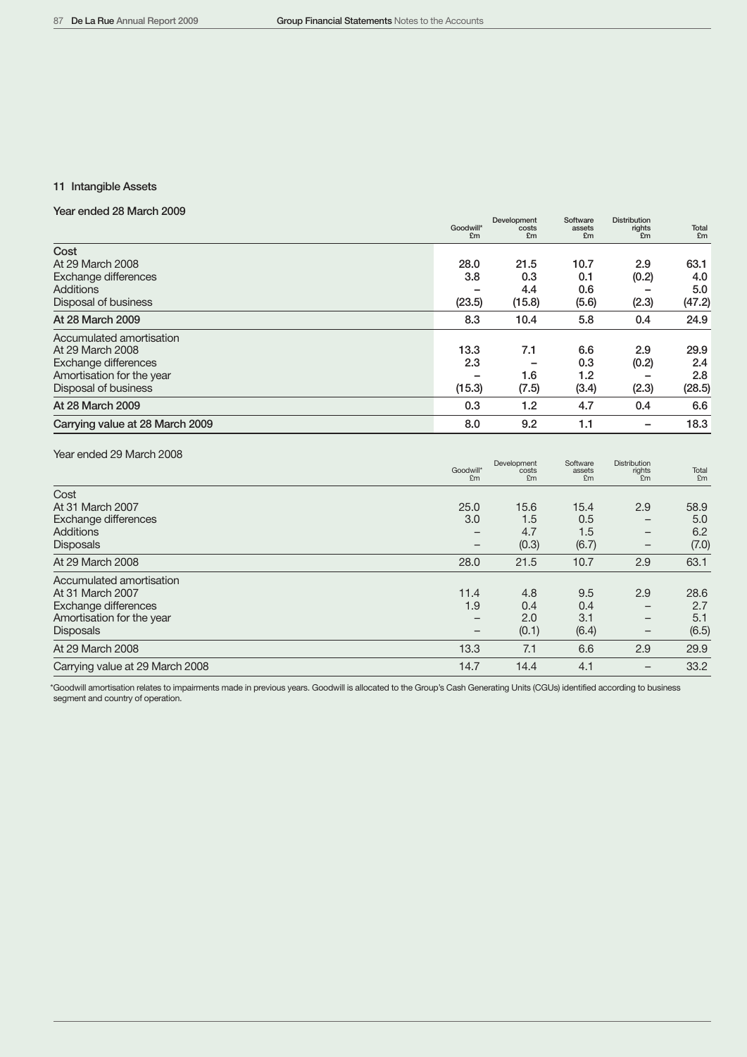# 11 Intangible Assets

# Year ended 28 March 2009

|                                                                                                                           | Goodwill*<br>£m       | Development<br>costs<br>£m   | Software<br>assets<br>£m    | <b>Distribution</b><br>rights<br>£m | Total<br>£m                  |
|---------------------------------------------------------------------------------------------------------------------------|-----------------------|------------------------------|-----------------------------|-------------------------------------|------------------------------|
| Cost<br>At 29 March 2008<br>Exchange differences<br><b>Additions</b><br>Disposal of business                              | 28.0<br>3.8<br>(23.5) | 21.5<br>0.3<br>4.4<br>(15.8) | 10.7<br>0.1<br>0.6<br>(5.6) | 2.9<br>(0.2)<br>(2.3)               | 63.1<br>4.0<br>5.0<br>(47.2) |
| At 28 March 2009                                                                                                          | 8.3                   | 10.4                         | 5.8                         | 0.4                                 | 24.9                         |
| Accumulated amortisation<br>At 29 March 2008<br>Exchange differences<br>Amortisation for the year<br>Disposal of business | 13.3<br>2.3<br>(15.3) | 7.1<br>1.6<br>(7.5)          | 6.6<br>0.3<br>1.2<br>(3.4)  | 2.9<br>(0.2)<br>(2.3)               | 29.9<br>2.4<br>2.8<br>(28.5) |
| At 28 March 2009                                                                                                          | 0.3                   | 1.2                          | 4.7                         | 0.4                                 | 6.6                          |
| Carrying value at 28 March 2009                                                                                           | 8.0                   | 9.2                          | 1.1                         |                                     | 18.3                         |

# Year ended 29 March 2008

|                                 | Goodwill*<br>£m   | Development<br>costs<br>£m | Software<br>assets<br>£m | <b>Distribution</b><br>rights<br>£m | Total<br>£m |
|---------------------------------|-------------------|----------------------------|--------------------------|-------------------------------------|-------------|
| Cost                            |                   |                            |                          |                                     |             |
| At 31 March 2007                | 25.0              | 15.6                       | 15.4                     | 2.9                                 | 58.9        |
| Exchange differences            | 3.0               | 1.5                        | 0.5                      | -                                   | 5.0         |
| Additions                       | $\qquad \qquad -$ | 4.7                        | 1.5                      | $\overline{\phantom{m}}$            | 6.2         |
| <b>Disposals</b>                | $\qquad \qquad -$ | (0.3)                      | (6.7)                    | $\overline{\phantom{m}}$            | (7.0)       |
| At 29 March 2008                | 28.0              | 21.5                       | 10.7                     | 2.9                                 | 63.1        |
| Accumulated amortisation        |                   |                            |                          |                                     |             |
| At 31 March 2007                | 11.4              | 4.8                        | 9.5                      | 2.9                                 | 28.6        |
| Exchange differences            | 1.9               | 0.4                        | 0.4                      |                                     | 2.7         |
| Amortisation for the year       | -                 | 2.0                        | 3.1                      | $\overline{\phantom{m}}$            | 5.1         |
| <b>Disposals</b>                | $\qquad \qquad -$ | (0.1)                      | (6.4)                    | $\overline{\phantom{m}}$            | (6.5)       |
| At 29 March 2008                | 13.3              | 7.1                        | 6.6                      | 2.9                                 | 29.9        |
| Carrying value at 29 March 2008 | 14.7              | 14.4                       | 4.1                      | $\overline{\phantom{m}}$            | 33.2        |

\*Goodwill amortisation relates to impairments made in previous years. Goodwill is allocated to the Group's Cash Generating Units (CGUs) identified according to business segment and country of operation.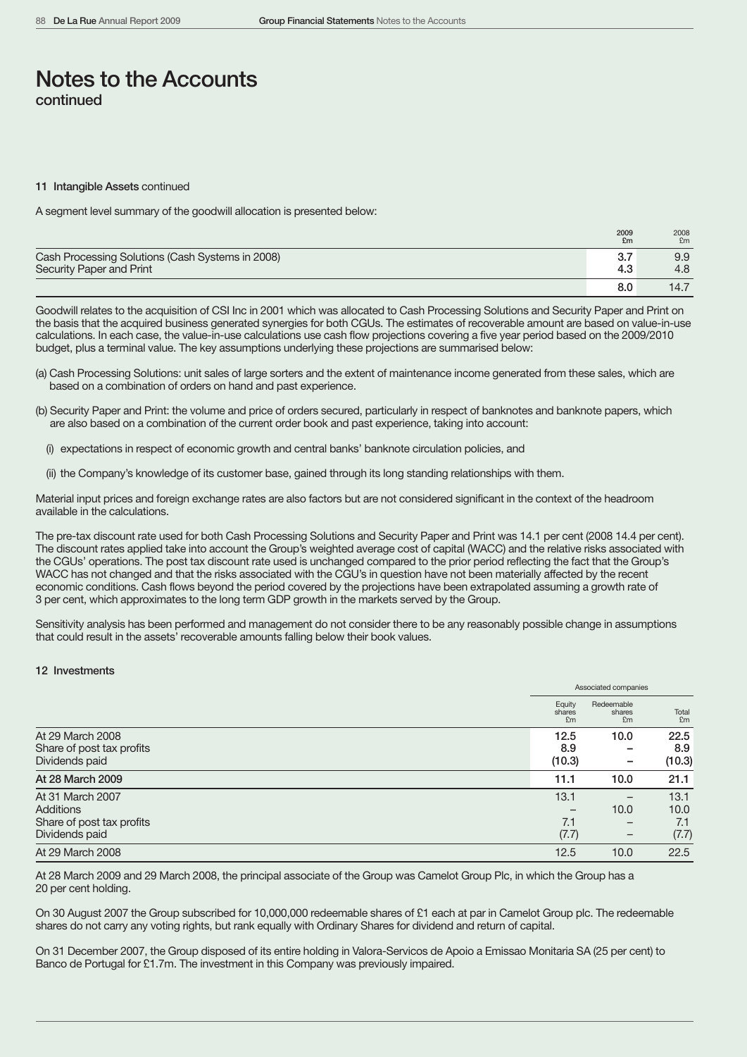#### 11 Intangible Assets continued

A segment level summary of the goodwill allocation is presented below:

|                                                  | 2009<br>£m | 2008<br>£m |
|--------------------------------------------------|------------|------------|
| Cash Processing Solutions (Cash Systems in 2008) | 3.7        | 9.9        |
| Security Paper and Print                         | 4.3        | 4.8        |
|                                                  | 8.0        | 14.7       |

Goodwill relates to the acquisition of CSI Inc in 2001 which was allocated to Cash Processing Solutions and Security Paper and Print on the basis that the acquired business generated synergies for both CGUs. The estimates of recoverable amount are based on value-in-use calculations. In each case, the value-in-use calculations use cash flow projections covering a five year period based on the 2009/2010 budget, plus a terminal value. The key assumptions underlying these projections are summarised below:

- (a) Cash Processing Solutions: unit sales of large sorters and the extent of maintenance income generated from these sales, which are based on a combination of orders on hand and past experience.
- (b) Security Paper and Print: the volume and price of orders secured, particularly in respect of banknotes and banknote papers, which are also based on a combination of the current order book and past experience, taking into account:
	- (i) expectations in respect of economic growth and central banks' banknote circulation policies, and
	- (ii) the Company's knowledge of its customer base, gained through its long standing relationships with them.

Material input prices and foreign exchange rates are also factors but are not considered significant in the context of the headroom available in the calculations.

The pre-tax discount rate used for both Cash Processing Solutions and Security Paper and Print was 14.1 per cent (2008 14.4 per cent). The discount rates applied take into account the Group's weighted average cost of capital (WACC) and the relative risks associated with the CGUs' operations. The post tax discount rate used is unchanged compared to the prior period reflecting the fact that the Group's WACC has not changed and that the risks associated with the CGU's in question have not been materially affected by the recent economic conditions. Cash flows beyond the period covered by the projections have been extrapolated assuming a growth rate of 3 per cent, which approximates to the long term GDP growth in the markets served by the Group.

Sensitivity analysis has been performed and management do not consider there to be any reasonably possible change in assumptions that could result in the assets' recoverable amounts falling below their book values.

#### 12 Investments

|                           |                        | Associated companies       |             |
|---------------------------|------------------------|----------------------------|-------------|
|                           | Equity<br>shares<br>£m | Redeemable<br>shares<br>£m | Total<br>Em |
| At 29 March 2008          | 12.5                   | 10.0                       | 22.5        |
| Share of post tax profits | 8.9                    |                            | 8.9         |
| Dividends paid            | (10.3)                 | -                          | (10.3)      |
| At 28 March 2009          | 11.1                   | 10.0                       | 21.1        |
| At 31 March 2007          | 13.1                   |                            | 13.1        |
| <b>Additions</b>          |                        | 10.0                       | 10.0        |
| Share of post tax profits | 7.1                    | $\overline{\phantom{m}}$   | 7.1         |
| Dividends paid            | (7.7)                  | -                          | (7.7)       |
| At 29 March 2008          | 12.5                   | 10.0                       | 22.5        |

At 28 March 2009 and 29 March 2008, the principal associate of the Group was Camelot Group Plc, in which the Group has a 20 per cent holding.

On 30 August 2007 the Group subscribed for 10,000,000 redeemable shares of £1 each at par in Camelot Group plc. The redeemable shares do not carry any voting rights, but rank equally with Ordinary Shares for dividend and return of capital.

On 31 December 2007, the Group disposed of its entire holding in Valora-Servicos de Apoio a Emissao Monitaria SA (25 per cent) to Banco de Portugal for £1.7m. The investment in this Company was previously impaired.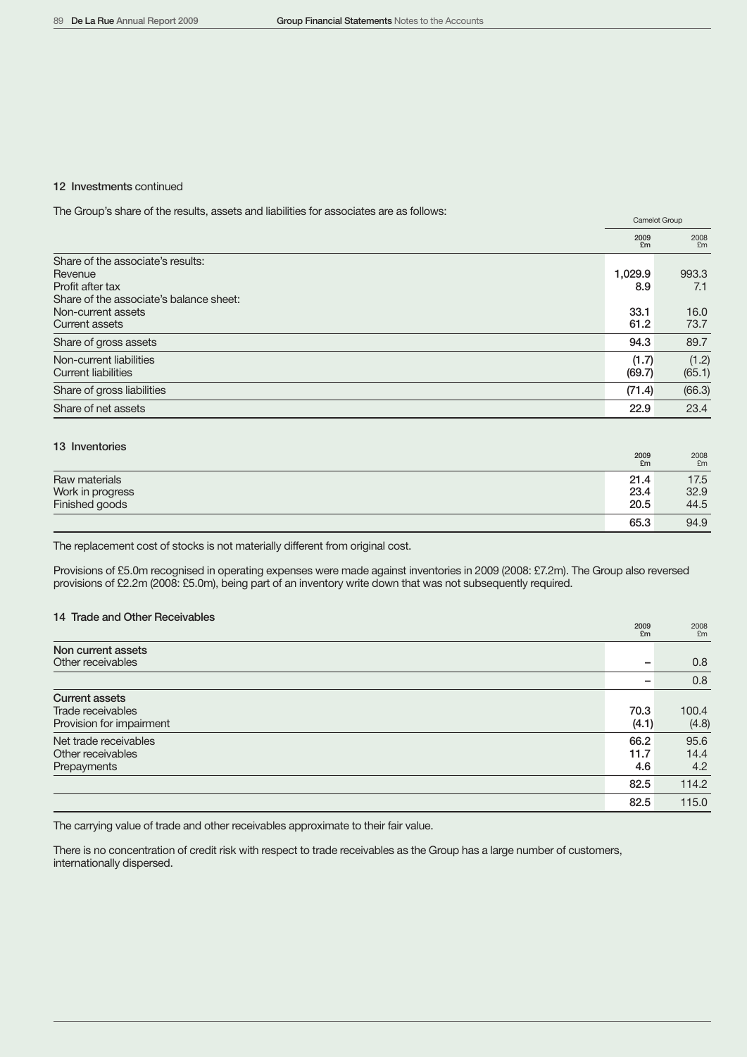### 12 Investments continued

The Group's share of the results, assets and liabilities for associates are as follows:

| 2009<br>£m<br>Share of the associate's results:<br>1,029.9<br>Revenue<br>Profit after tax<br>8.9<br>Share of the associate's balance sheet:<br>33.1<br>Non-current assets<br>61.2<br>Current assets<br>94.3<br>Share of gross assets<br>Non-current liabilities<br>(1.7) |        | Carrielot Group |
|--------------------------------------------------------------------------------------------------------------------------------------------------------------------------------------------------------------------------------------------------------------------------|--------|-----------------|
|                                                                                                                                                                                                                                                                          |        | 2008<br>Em      |
|                                                                                                                                                                                                                                                                          |        |                 |
|                                                                                                                                                                                                                                                                          |        | 993.3           |
|                                                                                                                                                                                                                                                                          |        | 7.1             |
|                                                                                                                                                                                                                                                                          |        |                 |
|                                                                                                                                                                                                                                                                          |        | 16.0            |
|                                                                                                                                                                                                                                                                          |        | 73.7            |
|                                                                                                                                                                                                                                                                          |        | 89.7            |
|                                                                                                                                                                                                                                                                          |        | (1.2)           |
| <b>Current liabilities</b>                                                                                                                                                                                                                                               | (69.7) | (65.1)          |
| Share of gross liabilities<br>(71.4)                                                                                                                                                                                                                                     |        | (66.3)          |
| Share of net assets<br>22.9                                                                                                                                                                                                                                              |        | 23.4            |

| 13 Inventories   | 2009<br>£m | 2008<br>Em |
|------------------|------------|------------|
| Raw materials    | 21.4       | 17.5       |
| Work in progress | 23.4       | 32.9       |
| Finished goods   | 20.5       | 44.5       |
|                  | 65.3       | 94.9       |

The replacement cost of stocks is not materially different from original cost.

Provisions of £5.0m recognised in operating expenses were made against inventories in 2009 (2008: £7.2m). The Group also reversed provisions of £2.2m (2008: £5.0m), being part of an inventory write down that was not subsequently required.

## 14 Trade and Other Receivables

|                          | SOOR<br>£m | <b>ZUUS</b><br>£m |
|--------------------------|------------|-------------------|
| Non current assets       |            |                   |
| Other receivables        | -          | 0.8               |
|                          |            | 0.8               |
| <b>Current assets</b>    |            |                   |
| Trade receivables        | 70.3       | 100.4             |
| Provision for impairment | (4.1)      | (4.8)             |
| Net trade receivables    | 66.2       | 95.6              |
| Other receivables        | 11.7       | 14.4              |
| Prepayments              | 4.6        | 4.2               |
|                          | 82.5       | 114.2             |
|                          | 82.5       | 115.0             |

The carrying value of trade and other receivables approximate to their fair value.

There is no concentration of credit risk with respect to trade receivables as the Group has a large number of customers, internationally dispersed.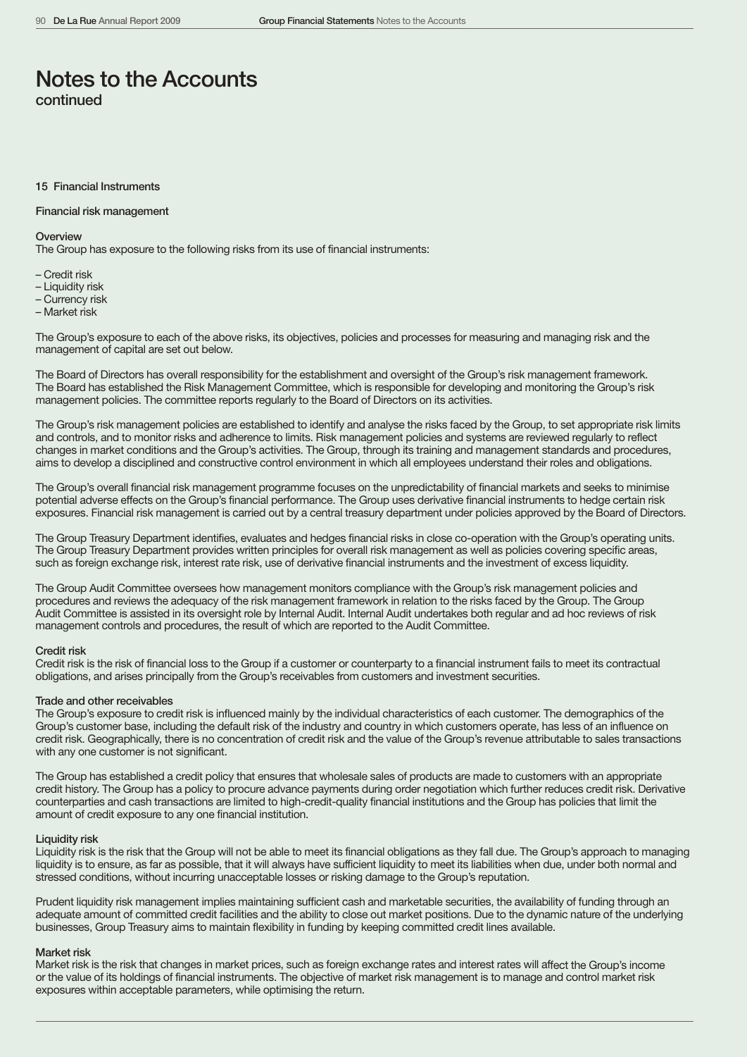#### 15 Financial Instruments

#### Financial risk management

#### **Overview**

The Group has exposure to the following risks from its use of financial instruments:

- Credit risk
- Liquidity risk
- Currency risk
- Market risk

The Group's exposure to each of the above risks, its objectives, policies and processes for measuring and managing risk and the management of capital are set out below.

The Board of Directors has overall responsibility for the establishment and oversight of the Group's risk management framework. The Board has established the Risk Management Committee, which is responsible for developing and monitoring the Group's risk management policies. The committee reports regularly to the Board of Directors on its activities.

The Group's risk management policies are established to identify and analyse the risks faced by the Group, to set appropriate risk limits and controls, and to monitor risks and adherence to limits. Risk management policies and systems are reviewed regularly to reflect changes in market conditions and the Group's activities. The Group, through its training and management standards and procedures, aims to develop a disciplined and constructive control environment in which all employees understand their roles and obligations.

The Group's overall financial risk management programme focuses on the unpredictability of financial markets and seeks to minimise potential adverse effects on the Group's financial performance. The Group uses derivative financial instruments to hedge certain risk exposures. Financial risk management is carried out by a central treasury department under policies approved by the Board of Directors.

The Group Treasury Department identifies, evaluates and hedges financial risks in close co-operation with the Group's operating units. The Group Treasury Department provides written principles for overall risk management as well as policies covering specific areas, such as foreign exchange risk, interest rate risk, use of derivative financial instruments and the investment of excess liquidity.

The Group Audit Committee oversees how management monitors compliance with the Group's risk management policies and procedures and reviews the adequacy of the risk management framework in relation to the risks faced by the Group. The Group Audit Committee is assisted in its oversight role by Internal Audit. Internal Audit undertakes both regular and ad hoc reviews of risk management controls and procedures, the result of which are reported to the Audit Committee.

### Credit risk

Credit risk is the risk of financial loss to the Group if a customer or counterparty to a financial instrument fails to meet its contractual obligations, and arises principally from the Group's receivables from customers and investment securities.

#### Trade and other receivables

The Group's exposure to credit risk is influenced mainly by the individual characteristics of each customer. The demographics of the Group's customer base, including the default risk of the industry and country in which customers operate, has less of an influence on credit risk. Geographically, there is no concentration of credit risk and the value of the Group's revenue attributable to sales transactions with any one customer is not significant.

The Group has established a credit policy that ensures that wholesale sales of products are made to customers with an appropriate credit history. The Group has a policy to procure advance payments during order negotiation which further reduces credit risk. Derivative counterparties and cash transactions are limited to high-credit-quality financial institutions and the Group has policies that limit the amount of credit exposure to any one financial institution.

#### Liquidity risk

Liquidity risk is the risk that the Group will not be able to meet its financial obligations as they fall due. The Group's approach to managing liquidity is to ensure, as far as possible, that it will always have sufficient liquidity to meet its liabilities when due, under both normal and stressed conditions, without incurring unacceptable losses or risking damage to the Group's reputation.

Prudent liquidity risk management implies maintaining sufficient cash and marketable securities, the availability of funding through an adequate amount of committed credit facilities and the ability to close out market positions. Due to the dynamic nature of the underlying businesses, Group Treasury aims to maintain flexibility in funding by keeping committed credit lines available.

#### Market risk

Market risk is the risk that changes in market prices, such as foreign exchange rates and interest rates will affect the Group's income or the value of its holdings of financial instruments. The objective of market risk management is to manage and control market risk exposures within acceptable parameters, while optimising the return.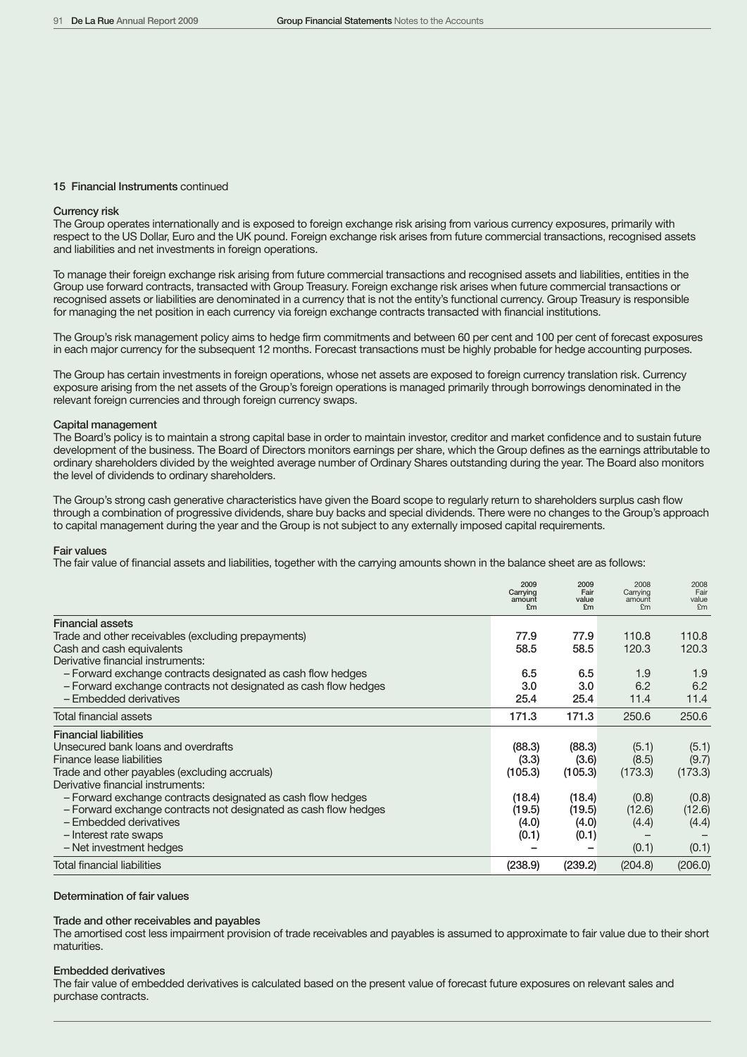#### 15 Financial Instruments continued

#### Currency risk

The Group operates internationally and is exposed to foreign exchange risk arising from various currency exposures, primarily with respect to the US Dollar, Euro and the UK pound. Foreign exchange risk arises from future commercial transactions, recognised assets and liabilities and net investments in foreign operations.

To manage their foreign exchange risk arising from future commercial transactions and recognised assets and liabilities, entities in the Group use forward contracts, transacted with Group Treasury. Foreign exchange risk arises when future commercial transactions or recognised assets or liabilities are denominated in a currency that is not the entity's functional currency. Group Treasury is responsible for managing the net position in each currency via foreign exchange contracts transacted with financial institutions.

The Group's risk management policy aims to hedge firm commitments and between 60 per cent and 100 per cent of forecast exposures in each major currency for the subsequent 12 months. Forecast transactions must be highly probable for hedge accounting purposes.

The Group has certain investments in foreign operations, whose net assets are exposed to foreign currency translation risk. Currency exposure arising from the net assets of the Group's foreign operations is managed primarily through borrowings denominated in the relevant foreign currencies and through foreign currency swaps.

#### Capital management

The Board's policy is to maintain a strong capital base in order to maintain investor, creditor and market confidence and to sustain future development of the business. The Board of Directors monitors earnings per share, which the Group defines as the earnings attributable to ordinary shareholders divided by the weighted average number of Ordinary Shares outstanding during the year. The Board also monitors the level of dividends to ordinary shareholders.

The Group's strong cash generative characteristics have given the Board scope to regularly return to shareholders surplus cash flow through a combination of progressive dividends, share buy backs and special dividends. There were no changes to the Group's approach to capital management during the year and the Group is not subject to any externally imposed capital requirements.

#### Fair values

The fair value of financial assets and liabilities, together with the carrying amounts shown in the balance sheet are as follows:

|                                                                 | 2009<br>Carrying<br>amount<br>£m | 2009<br>Fair<br>value<br>£m | 2008<br>Carrying<br>amount<br>Em | 2008<br>Fair<br>value<br>F <sub>m</sub> |
|-----------------------------------------------------------------|----------------------------------|-----------------------------|----------------------------------|-----------------------------------------|
| <b>Financial assets</b>                                         |                                  |                             |                                  |                                         |
| Trade and other receivables (excluding prepayments)             | 77.9                             | 77.9                        | 110.8                            | 110.8                                   |
| Cash and cash equivalents                                       | 58.5                             | 58.5                        | 120.3                            | 120.3                                   |
| Derivative financial instruments:                               |                                  |                             |                                  |                                         |
| - Forward exchange contracts designated as cash flow hedges     | 6.5                              | 6.5                         | 1.9                              | 1.9                                     |
| - Forward exchange contracts not designated as cash flow hedges | 3.0                              | 3.0                         | 6.2                              | 6.2                                     |
| - Embedded derivatives                                          | 25.4                             | 25.4                        | 11.4                             | 11.4                                    |
| <b>Total financial assets</b>                                   | 171.3                            | 171.3                       | 250.6                            | 250.6                                   |
| <b>Financial liabilities</b>                                    |                                  |                             |                                  |                                         |
| Unsecured bank loans and overdrafts                             | (88.3)                           | (88.3)                      | (5.1)                            | (5.1)                                   |
| Finance lease liabilities                                       | (3.3)                            | (3.6)                       | (8.5)                            | (9.7)                                   |
| Trade and other payables (excluding accruals)                   | (105.3)                          | (105.3)                     | (173.3)                          | (173.3)                                 |
| Derivative financial instruments:                               |                                  |                             |                                  |                                         |
| - Forward exchange contracts designated as cash flow hedges     | (18.4)                           | (18.4)                      | (0.8)                            | (0.8)                                   |
| - Forward exchange contracts not designated as cash flow hedges | (19.5)                           | (19.5)                      | (12.6)                           | (12.6)                                  |
| - Embedded derivatives                                          | (4.0)                            | (4.0)                       | (4.4)                            | (4.4)                                   |
| - Interest rate swaps                                           | (0.1)                            | (0.1)                       |                                  |                                         |
| - Net investment hedges                                         |                                  |                             | (0.1)                            | (0.1)                                   |
| <b>Total financial liabilities</b>                              | (238.9)                          | (239.2)                     | (204.8)                          | (206.0)                                 |

#### Determination of fair values

#### Trade and other receivables and payables

The amortised cost less impairment provision of trade receivables and payables is assumed to approximate to fair value due to their short maturities.

#### Embedded derivatives

The fair value of embedded derivatives is calculated based on the present value of forecast future exposures on relevant sales and purchase contracts.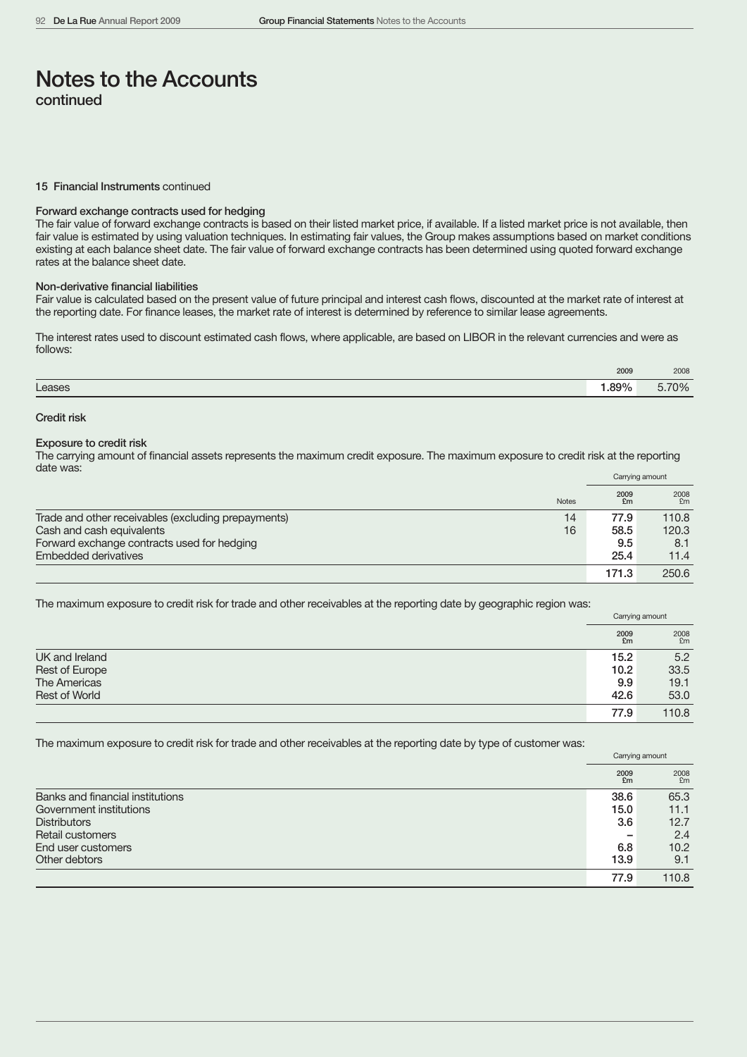#### 15 Financial Instruments continued

# Forward exchange contracts used for hedging

The fair value of forward exchange contracts is based on their listed market price, if available. If a listed market price is not available, then fair value is estimated by using valuation techniques. In estimating fair values, the Group makes assumptions based on market conditions existing at each balance sheet date. The fair value of forward exchange contracts has been determined using quoted forward exchange rates at the balance sheet date.

#### Non-derivative financial liabilities

Fair value is calculated based on the present value of future principal and interest cash flows, discounted at the market rate of interest at the reporting date. For finance leases, the market rate of interest is determined by reference to similar lease agreements.

The interest rates used to discount estimated cash flows, where applicable, are based on LIBOR in the relevant currencies and were as follows:

|        | 2009  | 2008     |
|--------|-------|----------|
| Leases | 1.89% | $3.70\%$ |

### Credit risk

#### Exposure to credit risk

The carrying amount of financial assets represents the maximum credit exposure. The maximum exposure to credit risk at the reporting date was:

|                                                           |            | Carrying amount |
|-----------------------------------------------------------|------------|-----------------|
| <b>Notes</b>                                              | 2009<br>£m | 2008<br>£m      |
| Trade and other receivables (excluding prepayments)<br>14 | 77.9       | 110.8           |
| Cash and cash equivalents<br>16                           | 58.5       | 120.3           |
| Forward exchange contracts used for hedging               | 9.5        | 8.1             |
| Embedded derivatives                                      | 25.4       | 11.4            |
|                                                           | 171.3      | 250.6           |

The maximum exposure to credit risk for trade and other receivables at the reporting date by geographic region was:

|                      | Carrying amount |              |
|----------------------|-----------------|--------------|
|                      | 2009<br>£m      | $2008$<br>£m |
| UK and Ireland       | 15.2            | 5.2          |
| Rest of Europe       | 10.2            | 33.5         |
| The Americas         | 9.9             | 19.1         |
| <b>Rest of World</b> | 42.6            | 53.0         |
|                      | 77.9            | 110.8        |

The maximum exposure to credit risk for trade and other receivables at the reporting date by type of customer was:

|                                  | Carrying amount |            |  |
|----------------------------------|-----------------|------------|--|
|                                  | 2009<br>£m      | 2008<br>£m |  |
| Banks and financial institutions | 38.6            | 65.3       |  |
| Government institutions          | 15.0            | 11.1       |  |
| <b>Distributors</b>              | 3.6             | 12.7       |  |
| Retail customers                 |                 | 2.4        |  |
| End user customers               | 6.8             | 10.2       |  |
| Other debtors                    | 13.9            | 9.1        |  |
|                                  | 77.9            | 110.8      |  |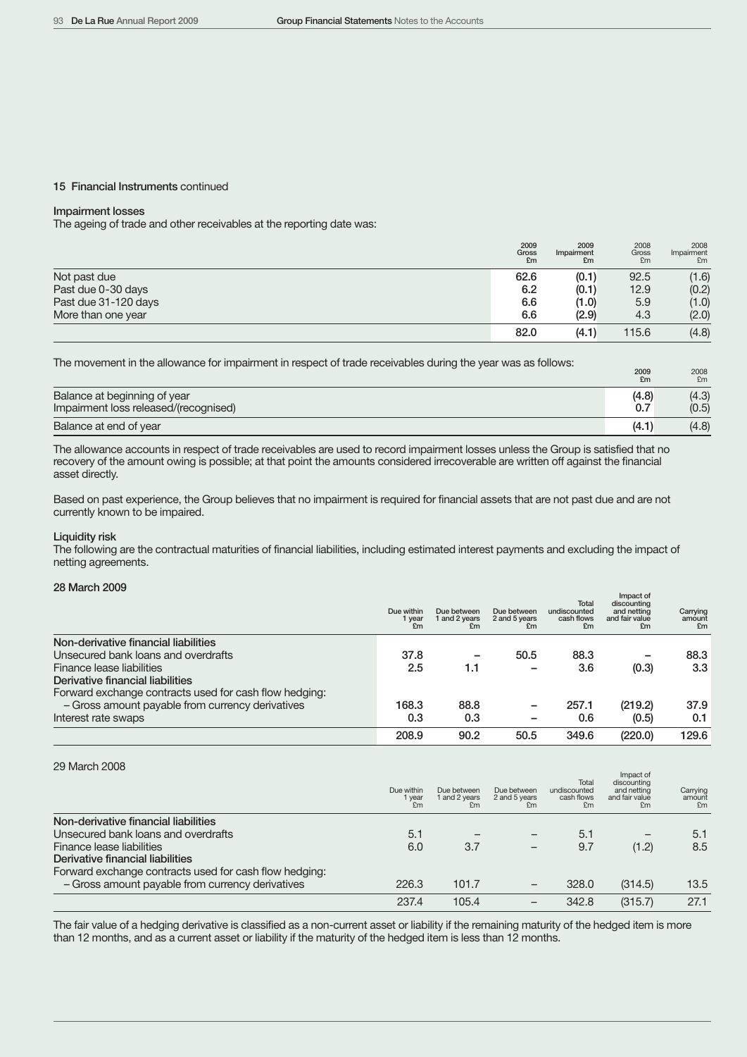#### 15 Financial Instruments continued

# Impairment losses

The ageing of trade and other receivables at the reporting date was:

|                      | 2009<br>Gross<br>£m | 2009<br>Impairment<br>£m | 2008<br>Gross<br>£m | 2008<br>Impairment<br>£m |
|----------------------|---------------------|--------------------------|---------------------|--------------------------|
| Not past due         | 62.6                | (0.1)                    | 92.5                | (1.6)                    |
| Past due 0-30 days   | 6.2                 | (0.1)                    | 12.9                | (0.2)                    |
| Past due 31-120 days | 6.6                 | (1.0)                    | 5.9                 | (1.0)                    |
| More than one year   | 6.6                 | (2.9)                    | 4.3                 | (2.0)                    |
|                      | 82.0                | (4.1)                    | 115.6               | (4.8)                    |

The movement in the allowance for impairment in respect of trade receivables during the year was as follows:

|                                       | £m    | £m    |
|---------------------------------------|-------|-------|
| Balance at beginning of year          | (4.8) | (4.3) |
| Impairment loss released/(recognised) | 0.7   | (0.5) |
| Balance at end of year                | (4.1) | (4.8) |

The allowance accounts in respect of trade receivables are used to record impairment losses unless the Group is satisfied that no recovery of the amount owing is possible; at that point the amounts considered irrecoverable are written off against the financial asset directly.

Based on past experience, the Group believes that no impairment is required for financial assets that are not past due and are not currently known to be impaired.

#### Liquidity risk

The following are the contractual maturities of financial liabilities, including estimated interest payments and excluding the impact of netting agreements.

# 28 March 2009

|                                                        | Due within<br>1 year<br>£m | Due between<br>1 and 2 years<br>£m | Due between<br>2 and 5 years<br>£m | <b>Total</b><br>undiscounted<br>cash flows<br>£m | Impact of<br>discounting<br>and netting<br>and fair value<br>£m | Carrying<br>amount<br>£m |
|--------------------------------------------------------|----------------------------|------------------------------------|------------------------------------|--------------------------------------------------|-----------------------------------------------------------------|--------------------------|
| Non-derivative financial liabilities                   |                            |                                    |                                    |                                                  |                                                                 |                          |
| Unsecured bank loans and overdrafts                    | 37.8                       |                                    | 50.5                               | 88.3                                             |                                                                 | 88.3                     |
| Finance lease liabilities                              | 2.5                        | 1.1                                |                                    | 3.6                                              | (0.3)                                                           | 3.3                      |
| Derivative financial liabilities                       |                            |                                    |                                    |                                                  |                                                                 |                          |
| Forward exchange contracts used for cash flow hedging: |                            |                                    |                                    |                                                  |                                                                 |                          |
| - Gross amount payable from currency derivatives       | 168.3                      | 88.8                               |                                    | 257.1                                            | (219.2)                                                         | 37.9                     |
| Interest rate swaps                                    | 0.3                        | 0.3                                |                                    | 0.6                                              | (0.5)                                                           | 0.1                      |
|                                                        | 208.9                      | 90.2                               | 50.5                               | 349.6                                            | (220.0)                                                         | 129.6                    |

# 29 March 2008

|                                                        | Due within<br>1 year<br>F <sub>m</sub> | Due between<br>1 and 2 years<br>£m | Due between<br>2 and 5 years<br>F <sub>m</sub> | Total<br>undiscounted<br>cash flows<br>£m | Impact of<br>discounting<br>and netting<br>and fair value<br>£m | Carrying<br>amount<br>F <sub>m</sub> |
|--------------------------------------------------------|----------------------------------------|------------------------------------|------------------------------------------------|-------------------------------------------|-----------------------------------------------------------------|--------------------------------------|
| Non-derivative financial liabilities                   |                                        |                                    |                                                |                                           |                                                                 |                                      |
| Unsecured bank loans and overdrafts                    | 5.1                                    |                                    |                                                | 5.1                                       |                                                                 | 5.1                                  |
| Finance lease liabilities                              | 6.0                                    | 3.7                                | $\overline{\phantom{0}}$                       | 9.7                                       | (1.2)                                                           | 8.5                                  |
| Derivative financial liabilities                       |                                        |                                    |                                                |                                           |                                                                 |                                      |
| Forward exchange contracts used for cash flow hedging: |                                        |                                    |                                                |                                           |                                                                 |                                      |
| - Gross amount payable from currency derivatives       | 226.3                                  | 101.7                              |                                                | 328.0                                     | (314.5)                                                         | 13.5                                 |
|                                                        | 237.4                                  | 105.4                              |                                                | 342.8                                     | (315.7)                                                         | 27.1                                 |

The fair value of a hedging derivative is classified as a non-current asset or liability if the remaining maturity of the hedged item is more than 12 months, and as a current asset or liability if the maturity of the hedged item is less than 12 months.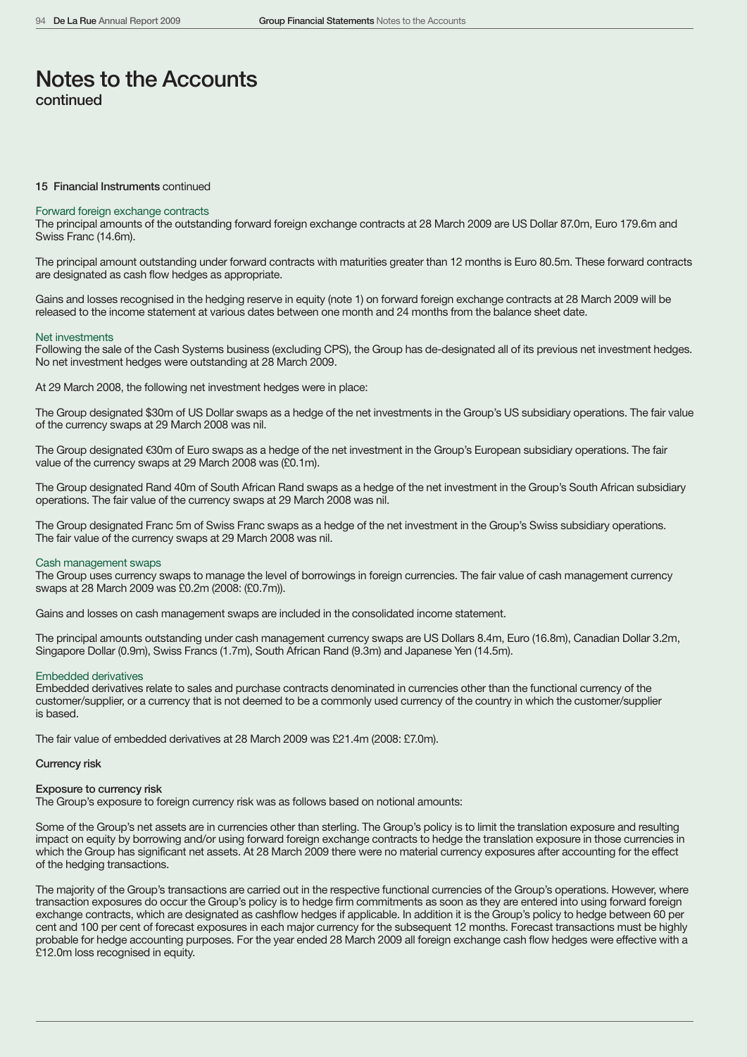#### 15 Financial Instruments continued

#### Forward foreign exchange contracts

The principal amounts of the outstanding forward foreign exchange contracts at 28 March 2009 are US Dollar 87.0m, Euro 179.6m and Swiss Franc (14.6m).

The principal amount outstanding under forward contracts with maturities greater than 12 months is Euro 80.5m. These forward contracts are designated as cash flow hedges as appropriate.

Gains and losses recognised in the hedging reserve in equity (note 1) on forward foreign exchange contracts at 28 March 2009 will be released to the income statement at various dates between one month and 24 months from the balance sheet date.

#### Net investments

Following the sale of the Cash Systems business (excluding CPS), the Group has de-designated all of its previous net investment hedges. No net investment hedges were outstanding at 28 March 2009.

At 29 March 2008, the following net investment hedges were in place:

The Group designated \$30m of US Dollar swaps as a hedge of the net investments in the Group's US subsidiary operations. The fair value of the currency swaps at 29 March 2008 was nil.

The Group designated €30m of Euro swaps as a hedge of the net investment in the Group's European subsidiary operations. The fair value of the currency swaps at 29 March 2008 was (£0.1m).

The Group designated Rand 40m of South African Rand swaps as a hedge of the net investment in the Group's South African subsidiary operations. The fair value of the currency swaps at 29 March 2008 was nil.

The Group designated Franc 5m of Swiss Franc swaps as a hedge of the net investment in the Group's Swiss subsidiary operations. The fair value of the currency swaps at 29 March 2008 was nil.

#### Cash management swaps

The Group uses currency swaps to manage the level of borrowings in foreign currencies. The fair value of cash management currency swaps at 28 March 2009 was £0.2m (2008: (£0.7m)).

Gains and losses on cash management swaps are included in the consolidated income statement.

The principal amounts outstanding under cash management currency swaps are US Dollars 8.4m, Euro (16.8m), Canadian Dollar 3.2m, Singapore Dollar (0.9m), Swiss Francs (1.7m), South African Rand (9.3m) and Japanese Yen (14.5m).

#### Embedded derivatives

Embedded derivatives relate to sales and purchase contracts denominated in currencies other than the functional currency of the customer/supplier, or a currency that is not deemed to be a commonly used currency of the country in which the customer/supplier is based.

The fair value of embedded derivatives at 28 March 2009 was £21.4m (2008: £7.0m).

#### Currency risk

### Exposure to currency risk

The Group's exposure to foreign currency risk was as follows based on notional amounts:

Some of the Group's net assets are in currencies other than sterling. The Group's policy is to limit the translation exposure and resulting impact on equity by borrowing and/or using forward foreign exchange contracts to hedge the translation exposure in those currencies in which the Group has significant net assets. At 28 March 2009 there were no material currency exposures after accounting for the effect of the hedging transactions.

The majority of the Group's transactions are carried out in the respective functional currencies of the Group's operations. However, where transaction exposures do occur the Group's policy is to hedge firm commitments as soon as they are entered into using forward foreign exchange contracts, which are designated as cashflow hedges if applicable. In addition it is the Group's policy to hedge between 60 per cent and 100 per cent of forecast exposures in each major currency for the subsequent 12 months. Forecast transactions must be highly probable for hedge accounting purposes. For the year ended 28 March 2009 all foreign exchange cash flow hedges were effective with a £12.0m loss recognised in equity.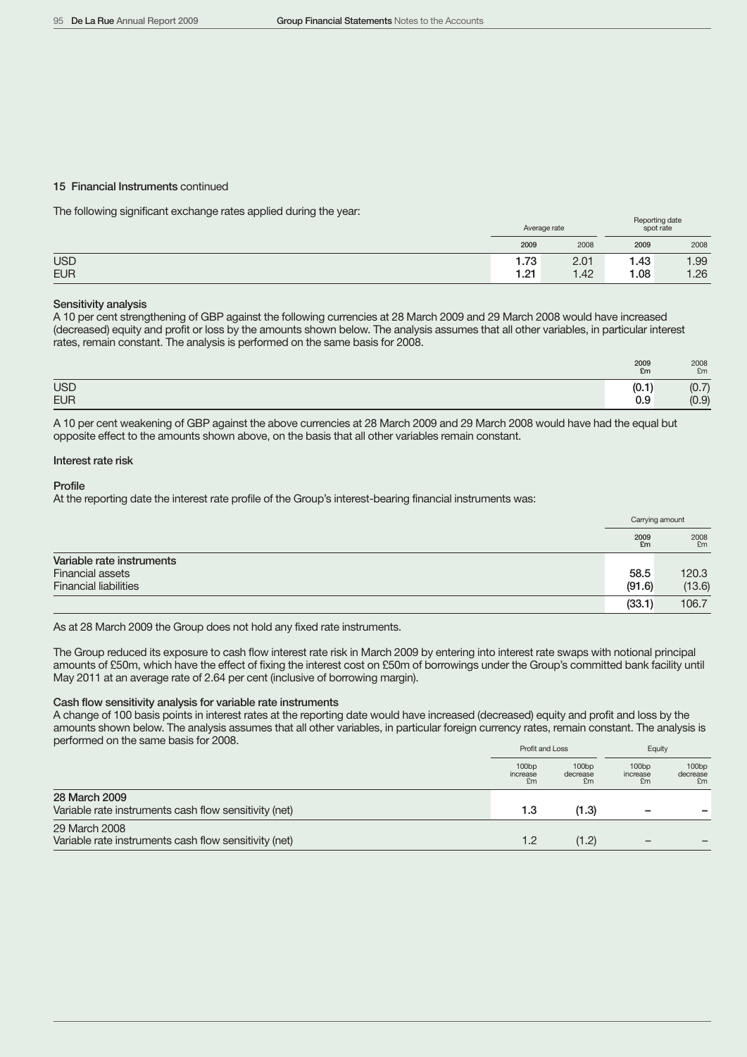#### 15 Financial Instruments continued

The following significant exchange rates applied during the year:

|            | Average rate |      | Reporting date<br>spot rate |      |
|------------|--------------|------|-----------------------------|------|
|            | 2009         | 2008 | 2009                        | 2008 |
| <b>USD</b> | 1.73         | 2.01 | 1.43                        | 1.99 |
| <b>EUR</b> | 1.21         | 1.42 | 1.08                        | 1.26 |

### Sensitivity analysis

A 10 per cent strengthening of GBP against the following currencies at 28 March 2009 and 29 March 2008 would have increased (decreased) equity and profit or loss by the amounts shown below. The analysis assumes that all other variables, in particular interest rates, remain constant. The analysis is performed on the same basis for 2008.

|                          | 2009<br>£m               | 2008<br>£m                      |
|--------------------------|--------------------------|---------------------------------|
| <b>USD</b><br><b>EUR</b> | $\sim$<br>(V. I )<br>0.9 | $\rightarrow$<br>(0.7)<br>(0.9) |

A 10 per cent weakening of GBP against the above currencies at 28 March 2009 and 29 March 2008 would have had the equal but opposite effect to the amounts shown above, on the basis that all other variables remain constant.

### Interest rate risk

Profile

At the reporting date the interest rate profile of the Group's interest-bearing financial instruments was:

|                              |            | Carrying amount |
|------------------------------|------------|-----------------|
|                              | 2009<br>£m | 2008<br>£m      |
| Variable rate instruments    |            |                 |
| <b>Financial assets</b>      | 58.5       | 120.3           |
| <b>Financial liabilities</b> | (91.6)     | (13.6)          |
|                              | (33.1)     | 106.7           |

As at 28 March 2009 the Group does not hold any fixed rate instruments.

The Group reduced its exposure to cash flow interest rate risk in March 2009 by entering into interest rate swaps with notional principal amounts of £50m, which have the effect of fixing the interest cost on £50m of borrowings under the Group's committed bank facility until May 2011 at an average rate of 2.64 per cent (inclusive of borrowing margin).

#### Cash flow sensitivity analysis for variable rate instruments

A change of 100 basis points in interest rates at the reporting date would have increased (decreased) equity and profit and loss by the amounts shown below. The analysis assumes that all other variables, in particular foreign currency rates, remain constant. The analysis is performed on the same basis for 2008.

|                                                                        | Profit and Loss         |                         | Equity                  |                                     |
|------------------------------------------------------------------------|-------------------------|-------------------------|-------------------------|-------------------------------------|
|                                                                        | 100bp<br>increase<br>£m | 100bp<br>decrease<br>£m | 100bp<br>increase<br>£m | 100 <sub>bp</sub><br>decrease<br>£m |
| 28 March 2009<br>Variable rate instruments cash flow sensitivity (net) | 1.3                     | (1.3)                   | -                       |                                     |
| 29 March 2008<br>Variable rate instruments cash flow sensitivity (net) | 1.2                     | (1.2)                   |                         |                                     |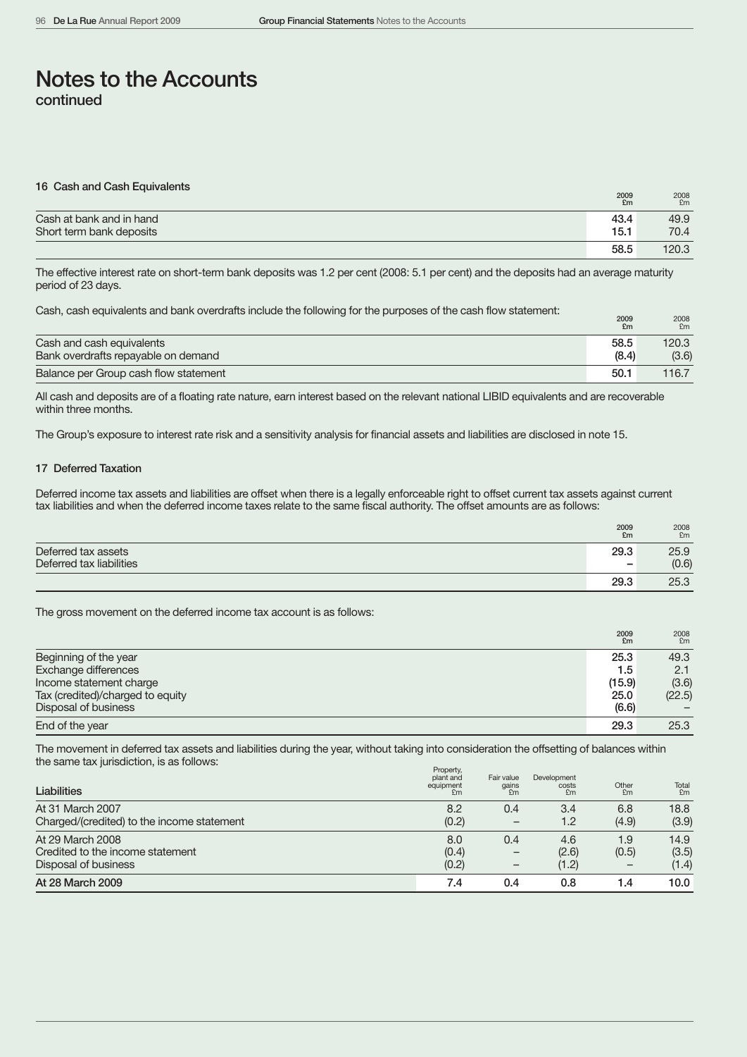| 16 Cash and Cash Equivalents | 2009<br>£m | 2008<br>£m |
|------------------------------|------------|------------|
| Cash at bank and in hand     | 43.4       | 49.9       |
| Short term bank deposits     | 15.1       | 70.4       |
|                              | 58.5       | 120.3      |

The effective interest rate on short-term bank deposits was 1.2 per cent (2008: 5.1 per cent) and the deposits had an average maturity period of 23 days.

Cash, cash equivalents and bank overdrafts include the following for the purposes of the cash flow statement:

|                                       | £m    | £m    |
|---------------------------------------|-------|-------|
| Cash and cash equivalents             | 58.5  | 120.3 |
| Bank overdrafts repayable on demand   | (8.4) | (3.6) |
| Balance per Group cash flow statement | 50.1  | 116.7 |

All cash and deposits are of a floating rate nature, earn interest based on the relevant national LIBID equivalents and are recoverable within three months.

The Group's exposure to interest rate risk and a sensitivity analysis for financial assets and liabilities are disclosed in note 15.

### 17 Deferred Taxation

Deferred income tax assets and liabilities are offset when there is a legally enforceable right to offset current tax assets against current tax liabilities and when the deferred income taxes relate to the same fiscal authority. The offset amounts are as follows:

|                          | 2009<br>£m               | 2008<br>£m |
|--------------------------|--------------------------|------------|
| Deferred tax assets      | 29.3                     | 25.9       |
| Deferred tax liabilities | $\overline{\phantom{a}}$ | (0.6)      |
|                          | 29.3                     | 25.3       |

The gross movement on the deferred income tax account is as follows:

|                                  | 2009<br>£m | 2008<br>Em |
|----------------------------------|------------|------------|
| Beginning of the year            | 25.3       | 49.3       |
| Exchange differences             | 1.5        | 2.1        |
| Income statement charge          | (15.9)     | (3.6)      |
| Tax (credited)/charged to equity | 25.0       | (22.5)     |
| Disposal of business             | (6.6)      |            |
| End of the year                  | 29.3       | 25.3       |

The movement in deferred tax assets and liabilities during the year, without taking into consideration the offsetting of balances within the same tax jurisdiction, is as follows:

| <b>Liabilities</b>                                                           | <b>FIUDEILY,</b><br>plant and<br>equipment<br>E <sub>m</sub> | Fair value<br>gains<br>£m | Development<br>costs<br>£m | Other<br>F <sub>m</sub> | Total<br>£m            |
|------------------------------------------------------------------------------|--------------------------------------------------------------|---------------------------|----------------------------|-------------------------|------------------------|
| At 31 March 2007<br>Charged/(credited) to the income statement               | 8.2<br>(0.2)                                                 | 0.4<br>-                  | 3.4<br>1.2                 | 6.8<br>(4.9)            | 18.8<br>(3.9)          |
| At 29 March 2008<br>Credited to the income statement<br>Disposal of business | 8.0<br>(0.4)<br>(0.2)                                        | 0.4                       | 4.6<br>(2.6)<br>(1.2)      | 1.9<br>(0.5)            | 14.9<br>(3.5)<br>(1.4) |
| At 28 March 2009                                                             | 7.4                                                          | 0.4                       | 0.8                        | 1.4                     | 10.0 <sub>1</sub>      |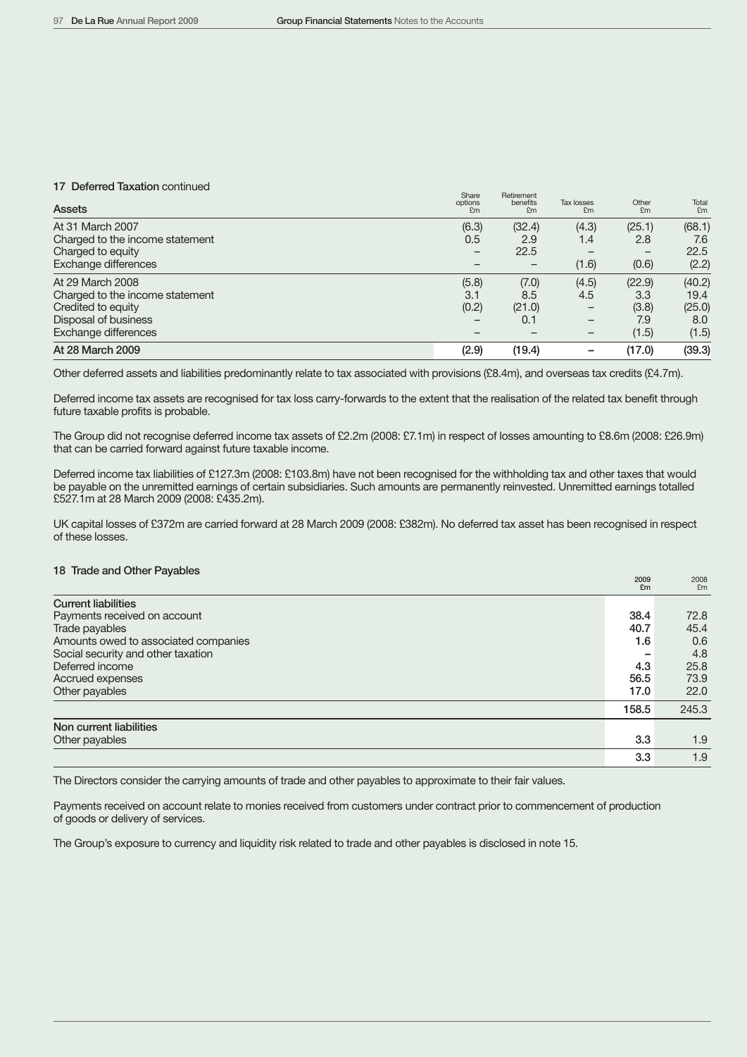#### 17 Deferred Taxation continued

| <b>Assets</b>                   | Share<br>options<br>£m | Retirement<br>benefits<br>£m | <b>Tax losses</b><br>£m | Other<br>£m | Total<br>£m |
|---------------------------------|------------------------|------------------------------|-------------------------|-------------|-------------|
| At 31 March 2007                | (6.3)                  | (32.4)                       | (4.3)                   | (25.1)      | (68.1)      |
| Charged to the income statement | 0.5                    | 2.9                          | 1.4                     | 2.8         | 7.6         |
| Charged to equity               | —                      | 22.5                         |                         | —           | 22.5        |
| Exchange differences            |                        | $\qquad \qquad$              | (1.6)                   | (0.6)       | (2.2)       |
| At 29 March 2008                | (5.8)                  | (7.0)                        | (4.5)                   | (22.9)      | (40.2)      |
| Charged to the income statement | 3.1                    | 8.5                          | 4.5                     | 3.3         | 19.4        |
| Credited to equity              | (0.2)                  | (21.0)                       | $\qquad \qquad$         | (3.8)       | (25.0)      |
| Disposal of business            |                        | 0.1                          |                         | 7.9         | 8.0         |
| Exchange differences            |                        |                              |                         | (1.5)       | (1.5)       |
| At 28 March 2009                | (2.9)                  | (19.4)                       |                         | (17.0)      | (39.3)      |

Other deferred assets and liabilities predominantly relate to tax associated with provisions (£8.4m), and overseas tax credits (£4.7m).

Deferred income tax assets are recognised for tax loss carry-forwards to the extent that the realisation of the related tax benefit through future taxable profits is probable.

The Group did not recognise deferred income tax assets of £2.2m (2008: £7.1m) in respect of losses amounting to £8.6m (2008: £26.9m) that can be carried forward against future taxable income.

Deferred income tax liabilities of £127.3m (2008: £103.8m) have not been recognised for the withholding tax and other taxes that would be payable on the unremitted earnings of certain subsidiaries. Such amounts are permanently reinvested. Unremitted earnings totalled £527.1m at 28 March 2009 (2008: £435.2m).

UK capital losses of £372m are carried forward at 28 March 2009 (2008: £382m). No deferred tax asset has been recognised in respect of these losses.

# 18 Trade and Other Payables

|                                      | 2009<br>£m | 2008<br>Em |
|--------------------------------------|------------|------------|
| <b>Current liabilities</b>           |            |            |
| Payments received on account         | 38.4       | 72.8       |
| Trade payables                       | 40.7       | 45.4       |
| Amounts owed to associated companies | 1.6        | 0.6        |
| Social security and other taxation   |            | 4.8        |
| Deferred income                      | 4.3        | 25.8       |
| Accrued expenses                     | 56.5       | 73.9       |
| Other payables                       | 17.0       | 22.0       |
|                                      | 158.5      | 245.3      |
| Non current liabilities              |            |            |
| Other payables                       | 3.3        | 1.9        |
|                                      | 3.3        | 1.9        |

The Directors consider the carrying amounts of trade and other payables to approximate to their fair values.

Payments received on account relate to monies received from customers under contract prior to commencement of production of goods or delivery of services.

The Group's exposure to currency and liquidity risk related to trade and other payables is disclosed in note 15.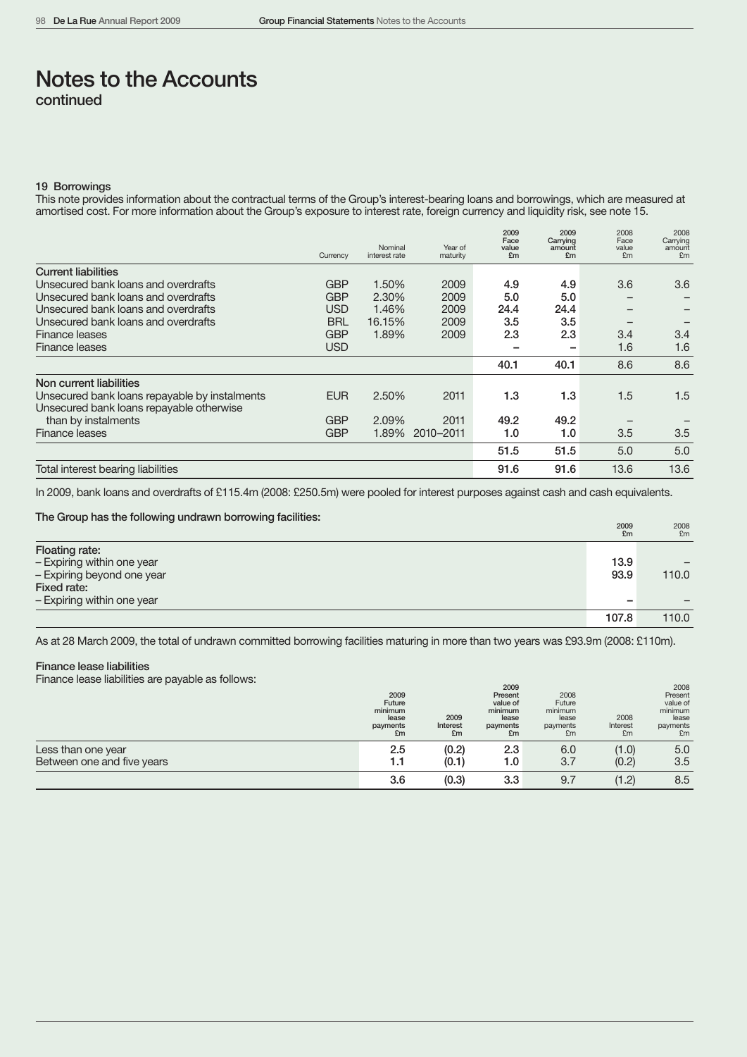#### 19 Borrowings

This note provides information about the contractual terms of the Group's interest-bearing loans and borrowings, which are measured at amortised cost. For more information about the Group's exposure to interest rate, foreign currency and liquidity risk, see note 15.

|                                               | Currency   | Nominal<br>interest rate | Year of<br>maturity | 2009<br>Face<br>value<br>£m | 2009<br>Carrying<br>amount<br>£m | 2008<br>Face<br>value<br>£m | 2008<br>Carrying<br>amount<br>£m |
|-----------------------------------------------|------------|--------------------------|---------------------|-----------------------------|----------------------------------|-----------------------------|----------------------------------|
| <b>Current liabilities</b>                    |            |                          |                     |                             |                                  |                             |                                  |
| Unsecured bank loans and overdrafts           | <b>GBP</b> | 1.50%                    | 2009                | 4.9                         | 4.9                              | 3.6                         | 3.6                              |
| Unsecured bank loans and overdrafts           | <b>GBP</b> | 2.30%                    | 2009                | 5.0                         | 5.0                              |                             |                                  |
| Unsecured bank loans and overdrafts           | <b>USD</b> | 1.46%                    | 2009                | 24.4                        | 24.4                             |                             |                                  |
| Unsecured bank loans and overdrafts           | <b>BRL</b> | 16.15%                   | 2009                | 3.5                         | 3.5                              |                             |                                  |
| Finance leases                                | <b>GBP</b> | 1.89%                    | 2009                | 2.3                         | 2.3                              | 3.4                         | 3.4                              |
| Finance leases                                | <b>USD</b> |                          |                     |                             |                                  | 1.6                         | 1.6                              |
|                                               |            |                          |                     | 40.1                        | 40.1                             | 8.6                         | 8.6                              |
| Non current liabilities                       |            |                          |                     |                             |                                  |                             |                                  |
| Unsecured bank loans repayable by instalments | <b>EUR</b> | 2.50%                    | 2011                | 1.3                         | 1.3                              | 1.5                         | 1.5                              |
| Unsecured bank loans repayable otherwise      |            |                          |                     |                             |                                  |                             |                                  |
| than by instalments                           | <b>GBP</b> | 2.09%                    | 2011                | 49.2                        | 49.2                             |                             |                                  |
| Finance leases                                | <b>GBP</b> | 1.89%                    | 2010-2011           | 1.0                         | 1.0                              | 3.5                         | 3.5                              |
|                                               |            |                          |                     | 51.5                        | 51.5                             | 5.0                         | 5.0                              |
| Total interest bearing liabilities            |            |                          |                     | 91.6                        | 91.6                             | 13.6                        | 13.6                             |

In 2009, bank loans and overdrafts of £115.4m (2008: £250.5m) were pooled for interest purposes against cash and cash equivalents.

#### The Group has the following undrawn borrowing facilities:

|                            | <b>2009</b><br>£m | 2008<br>£m |
|----------------------------|-------------------|------------|
| Floating rate:             |                   |            |
| - Expiring within one year | 13.9              |            |
| - Expiring beyond one year | 93.9              | 110.0      |
| Fixed rate:                |                   |            |
| - Expiring within one year | -                 |            |
|                            | 107.8             | 110.0      |

As at 28 March 2009, the total of undrawn committed borrowing facilities maturing in more than two years was £93.9m (2008: £110m).

# Finance lease liabilities

Finance lease liabilities are payable as follows:

| -                                                | 2009<br>Future<br>minimum<br>lease<br>payments<br>£m | 2009<br>Interest<br>£m | 2009<br>Present<br>value of<br>minimum<br>lease<br>payments<br>£m | 2008<br>Future<br>minimum<br>lease<br>payments<br>£m | 2008<br>Interest<br>£m | 2008<br>Present<br>value of<br>minimum<br>lease<br>payments<br>£m |
|--------------------------------------------------|------------------------------------------------------|------------------------|-------------------------------------------------------------------|------------------------------------------------------|------------------------|-------------------------------------------------------------------|
| Less than one year<br>Between one and five years | 2.5<br>1.1                                           | (0.2)<br>(0.1)         | 2.3<br>1.0                                                        | 6.0<br>3.7                                           | (1.0)<br>(0.2)         | 5.0<br>3.5                                                        |
|                                                  | 3.6                                                  | (0.3)                  | 3.3                                                               | 9.7                                                  | (1.2)                  | 8.5                                                               |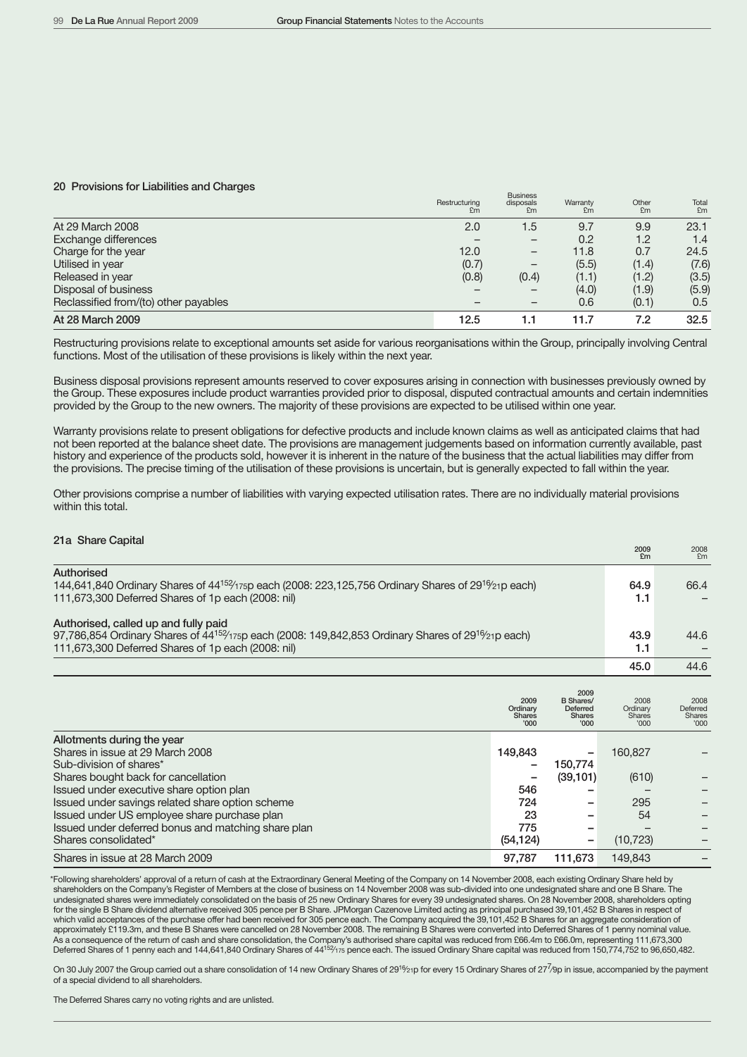### 20 Provisions for Liabilities and Charges

|                                       | Restructuring<br>£m | <b>Business</b><br>disposals<br>£m | Warranty<br>£m | Other<br>£m | Total<br>£m |
|---------------------------------------|---------------------|------------------------------------|----------------|-------------|-------------|
| At 29 March 2008                      | 2.0                 | 1.5                                | 9.7            | 9.9         | 23.1        |
| Exchange differences                  |                     |                                    | 0.2            | 1.2         | 1.4         |
| Charge for the year                   | 12.0                | $\overline{\phantom{m}}$           | 11.8           | 0.7         | 24.5        |
| Utilised in year                      | (0.7)               | $\overline{\phantom{m}}$           | (5.5)          | (1.4)       | (7.6)       |
| Released in year                      | (0.8)               | (0.4)                              | (1.1)          | (1.2)       | (3.5)       |
| Disposal of business                  |                     |                                    | (4.0)          | (1.9)       | (5.9)       |
| Reclassified from/(to) other payables |                     |                                    | 0.6            | (0.1)       | 0.5         |
| At 28 March 2009                      | 12.5                | 1.1                                | 11.7           | 7.2         | 32.5        |

Restructuring provisions relate to exceptional amounts set aside for various reorganisations within the Group, principally involving Central functions. Most of the utilisation of these provisions is likely within the next year.

Business disposal provisions represent amounts reserved to cover exposures arising in connection with businesses previously owned by the Group. These exposures include product warranties provided prior to disposal, disputed contractual amounts and certain indemnities provided by the Group to the new owners. The majority of these provisions are expected to be utilised within one year.

Warranty provisions relate to present obligations for defective products and include known claims as well as anticipated claims that had not been reported at the balance sheet date. The provisions are management judgements based on information currently available, past history and experience of the products sold, however it is inherent in the nature of the business that the actual liabilities may differ from the provisions. The precise timing of the utilisation of these provisions is uncertain, but is generally expected to fall within the year.

Other provisions comprise a number of liabilities with varying expected utilisation rates. There are no individually material provisions within this total.

| 21a Share Capital |  |
|-------------------|--|
|-------------------|--|

| 21a Share Capital                                                                                                                                                                                                                                                                                                                                               |                                                 |                                                                      | 2009<br>£m                                 | 2008<br>Em                                |
|-----------------------------------------------------------------------------------------------------------------------------------------------------------------------------------------------------------------------------------------------------------------------------------------------------------------------------------------------------------------|-------------------------------------------------|----------------------------------------------------------------------|--------------------------------------------|-------------------------------------------|
| Authorised<br>144,641,840 Ordinary Shares of $44^{152/175p}$ each (2008: 223,125,756 Ordinary Shares of 29 <sup>16</sup> / <sub>21</sub> p each)<br>111,673,300 Deferred Shares of 1p each (2008: nil)                                                                                                                                                          |                                                 |                                                                      | 64.9<br>1.1                                | 66.4                                      |
| Authorised, called up and fully paid<br>97,786,854 Ordinary Shares of $44^{152/15}$ p each (2008: 149,842,853 Ordinary Shares of 29 <sup>16</sup> / <sub>21</sub> p each)<br>111,673,300 Deferred Shares of 1p each (2008: nil)                                                                                                                                 |                                                 |                                                                      | 43.9<br>1.1                                | 44.6                                      |
|                                                                                                                                                                                                                                                                                                                                                                 |                                                 |                                                                      | 45.0                                       | 44.6                                      |
|                                                                                                                                                                                                                                                                                                                                                                 | 2009<br>Ordinary<br><b>Shares</b><br>'000       | 2009<br><b>B</b> Shares/<br>Deferred<br><b>Shares</b><br><b>'000</b> | 2008<br>Ordinary<br><b>Shares</b><br>'000  | 2008<br>Deferred<br><b>Shares</b><br>'000 |
| Allotments during the year<br>Shares in issue at 29 March 2008<br>Sub-division of shares*<br>Shares bought back for cancellation<br>Issued under executive share option plan<br>Issued under savings related share option scheme<br>Issued under US employee share purchase plan<br>Issued under deferred bonus and matching share plan<br>Shares consolidated* | 149,843<br>546<br>724<br>23<br>775<br>(54, 124) | 150,774<br>(39, 101)                                                 | 160,827<br>(610)<br>295<br>54<br>(10, 723) |                                           |
| Shares in issue at 28 March 2009                                                                                                                                                                                                                                                                                                                                | 97,787                                          | 111,673                                                              | 149,843                                    |                                           |

\*Following shareholders' approval of a return of cash at the Extraordinary General Meeting of the Company on 14 November 2008, each existing Ordinary Share held by shareholders on the Company's Register of Members at the close of business on 14 November 2008 was sub-divided into one undesignated share and one B Share. The undesignated shares were immediately consolidated on the basis of 25 new Ordinary Shares for every 39 undesignated shares. On 28 November 2008, shareholders opting for the single B Share dividend alternative received 305 pence per B Share. JPMorgan Cazenove Limited acting as principal purchased 39,101,452 B Shares in respect of which valid acceptances of the purchase offer had been received for 305 pence each. The Company acquired the 39,101,452 B Shares for an aggregate consideration of approximately £119.3m, and these B Shares were cancelled on 28 November 2008. The remaining B Shares were converted into Deferred Shares of 1 penny nominal value. As a consequence of the return of cash and share consolidation, the Company's authorised share capital was reduced from £66.4m to £66.0m, representing 111,673,300<br>Deferred Shares of 1 penny each and 144,641,840 Ordinary Sh

On 30 July 2007 the Group carried out a share consolidation of 14 new Ordinary Shares of 29<sup>16</sup>/21p for every 15 Ordinary Shares of 27<sup>7</sup>/9p in issue, accompanied by the payment of a special dividend to all shareholders.

The Deferred Shares carry no voting rights and are unlisted.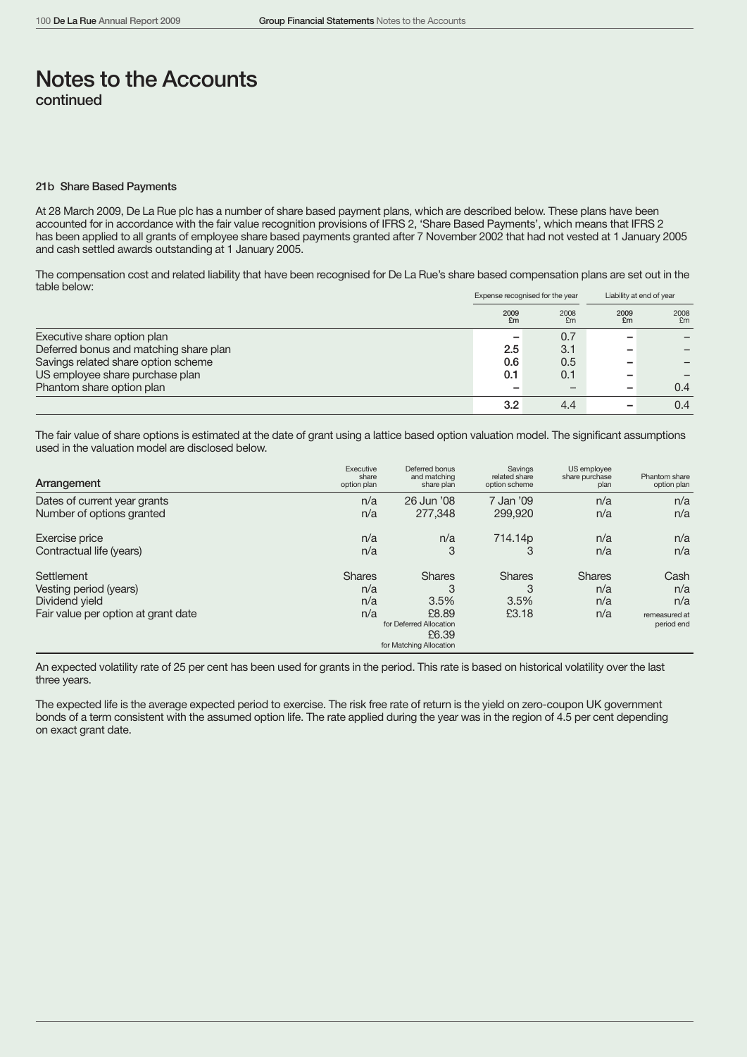#### 21b Share Based Payments

At 28 March 2009, De La Rue plc has a number of share based payment plans, which are described below. These plans have been accounted for in accordance with the fair value recognition provisions of IFRS 2, 'Share Based Payments', which means that IFRS 2 has been applied to all grants of employee share based payments granted after 7 November 2002 that had not vested at 1 January 2005 and cash settled awards outstanding at 1 January 2005.

The compensation cost and related liability that have been recognised for De La Rue's share based compensation plans are set out in the table below:

|                                        |            | Expense recognised for the year | Liability at end of year |            |  |
|----------------------------------------|------------|---------------------------------|--------------------------|------------|--|
|                                        | 2009<br>£m | 2008<br>£m                      | 2009<br>£m               | 2008<br>£m |  |
| Executive share option plan            |            | 0.7                             |                          |            |  |
| Deferred bonus and matching share plan | 2.5        | 3.1                             |                          |            |  |
| Savings related share option scheme    | 0.6        | 0.5                             |                          |            |  |
| US employee share purchase plan        | 0.1        | 0.1                             |                          |            |  |
| Phantom share option plan              |            |                                 | $\overline{\phantom{a}}$ | 0.4        |  |
|                                        | 3.2        | 4.4                             |                          | 0.4        |  |

The fair value of share options is estimated at the date of grant using a lattice based option valuation model. The significant assumptions used in the valuation model are disclosed below.

| Arrangement                         | Executive<br>share<br>option plan | Deferred bonus<br>and matching<br>share plan | Savings<br>related share<br>option scheme | US employee<br>share purchase<br>plan | Phantom share<br>option plan |
|-------------------------------------|-----------------------------------|----------------------------------------------|-------------------------------------------|---------------------------------------|------------------------------|
| Dates of current year grants        | n/a                               | 26 Jun '08                                   | 7 Jan '09                                 | n/a                                   | n/a                          |
| Number of options granted           | n/a                               | 277,348                                      | 299,920                                   | n/a                                   | n/a                          |
| Exercise price                      | n/a                               | n/a                                          | 714.14p                                   | n/a                                   | n/a                          |
| Contractual life (years)            | n/a                               | 3                                            |                                           | n/a                                   | n/a                          |
| Settlement                          | <b>Shares</b>                     | <b>Shares</b>                                | <b>Shares</b>                             | <b>Shares</b>                         | Cash                         |
| Vesting period (years)              | n/a                               |                                              | 3                                         | n/a                                   | n/a                          |
| Dividend yield                      | n/a                               | 3.5%                                         | 3.5%                                      | n/a                                   | n/a                          |
| Fair value per option at grant date | n/a                               | £8.89                                        | £3.18                                     | n/a                                   | remeasured at                |
|                                     |                                   | for Deferred Allocation                      |                                           |                                       | period end                   |
|                                     |                                   | £6.39                                        |                                           |                                       |                              |
|                                     |                                   | for Matching Allocation                      |                                           |                                       |                              |

An expected volatility rate of 25 per cent has been used for grants in the period. This rate is based on historical volatility over the last three years.

The expected life is the average expected period to exercise. The risk free rate of return is the yield on zero-coupon UK government bonds of a term consistent with the assumed option life. The rate applied during the year was in the region of 4.5 per cent depending on exact grant date.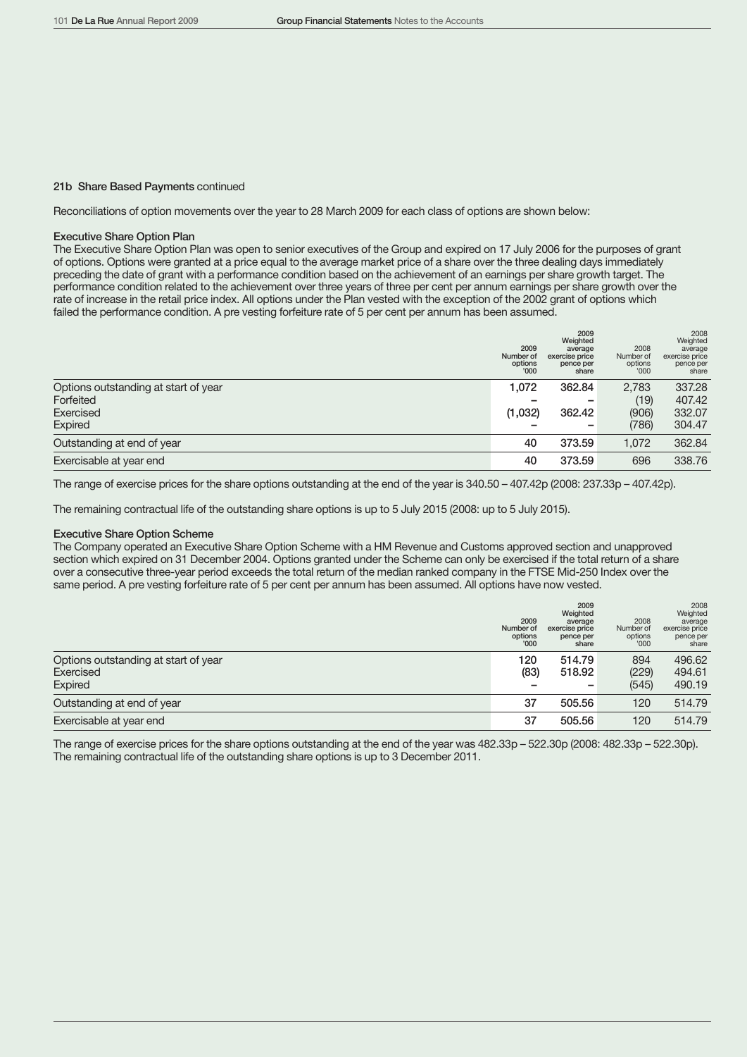#### 21b Share Based Payments continued

Reconciliations of option movements over the year to 28 March 2009 for each class of options are shown below:

#### Executive Share Option Plan

The Executive Share Option Plan was open to senior executives of the Group and expired on 17 July 2006 for the purposes of grant of options. Options were granted at a price equal to the average market price of a share over the three dealing days immediately preceding the date of grant with a performance condition based on the achievement of an earnings per share growth target. The performance condition related to the achievement over three years of three per cent per annum earnings per share growth over the rate of increase in the retail price index. All options under the Plan vested with the exception of the 2002 grant of options which failed the performance condition. A pre vesting forfeiture rate of 5 per cent per annum has been assumed.

|                                      | 2009<br>Number of<br>options<br>'000 | 2009<br>Weighted<br>average<br>exercise price<br>pence per<br>share | 2008<br>Number of<br>options<br>'000 | 2008<br>Weighted<br>average<br>exercise price<br>pence per<br>share |
|--------------------------------------|--------------------------------------|---------------------------------------------------------------------|--------------------------------------|---------------------------------------------------------------------|
| Options outstanding at start of year | 1,072                                | 362.84                                                              | 2,783                                | 337.28                                                              |
| Forfeited                            |                                      |                                                                     | (19)                                 | 407.42                                                              |
| Exercised                            | (1,032)                              | 362.42                                                              | (906)                                | 332.07                                                              |
| Expired                              |                                      |                                                                     | (786)                                | 304.47                                                              |
| Outstanding at end of year           | 40                                   | 373.59                                                              | 1.072                                | 362.84                                                              |
| Exercisable at year end              | 40                                   | 373.59                                                              | 696                                  | 338.76                                                              |

The range of exercise prices for the share options outstanding at the end of the year is 340.50 – 407.42p (2008: 237.33p – 407.42p).

The remaining contractual life of the outstanding share options is up to 5 July 2015 (2008: up to 5 July 2015).

#### Executive Share Option Scheme

The Company operated an Executive Share Option Scheme with a HM Revenue and Customs approved section and unapproved section which expired on 31 December 2004. Options granted under the Scheme can only be exercised if the total return of a share over a consecutive three-year period exceeds the total return of the median ranked company in the FTSE Mid-250 Index over the same period. A pre vesting forfeiture rate of 5 per cent per annum has been assumed. All options have now vested.

|                                                   | 2009<br>Number of<br>options<br>'000 | 2009<br>Weighted<br>average<br>exercise price<br>pence per<br>share | 2008<br>Number of<br>options<br>'000 | 2008<br>Weighted<br>average<br>exercise price<br>pence per<br>share |
|---------------------------------------------------|--------------------------------------|---------------------------------------------------------------------|--------------------------------------|---------------------------------------------------------------------|
| Options outstanding at start of year<br>Exercised | 120<br>(83)                          | 514.79<br>518.92                                                    | 894<br>(229)                         | 496.62<br>494.61                                                    |
| <b>Expired</b>                                    |                                      |                                                                     | (545)                                | 490.19                                                              |
| Outstanding at end of year                        | 37                                   | 505.56                                                              | 120                                  | 514.79                                                              |
| Exercisable at year end                           | 37                                   | 505.56                                                              | 120                                  | 514.79                                                              |

The range of exercise prices for the share options outstanding at the end of the year was 482.33p – 522.30p (2008: 482.33p – 522.30p). The remaining contractual life of the outstanding share options is up to 3 December 2011.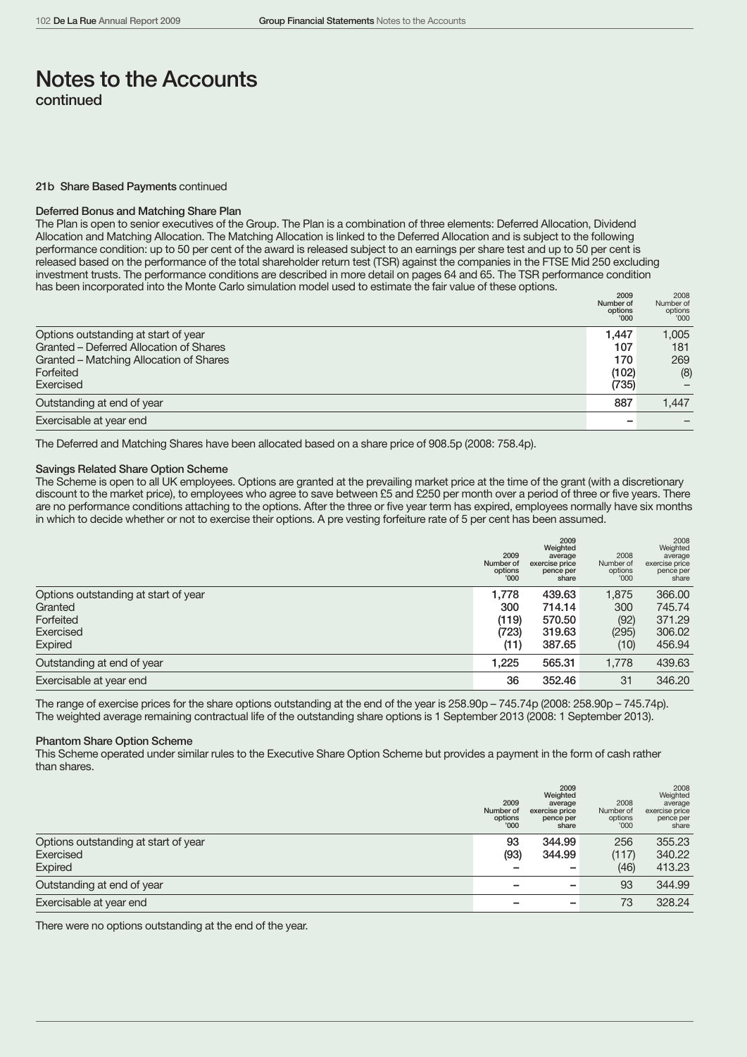#### 21b Share Based Payments continued

#### Deferred Bonus and Matching Share Plan

The Plan is open to senior executives of the Group. The Plan is a combination of three elements: Deferred Allocation, Dividend Allocation and Matching Allocation. The Matching Allocation is linked to the Deferred Allocation and is subject to the following performance condition: up to 50 per cent of the award is released subject to an earnings per share test and up to 50 per cent is released based on the performance of the total shareholder return test (TSR) against the companies in the FTSE Mid 250 excluding investment trusts. The performance conditions are described in more detail on pages 64 and 65. The TSR performance condition has been incorporated into the Monte Carlo simulation model used to estimate the fair value of these options.

|                                         | 2009<br>Number of<br>options<br>'000' | 2008<br>Number of<br>options<br>'000' |
|-----------------------------------------|---------------------------------------|---------------------------------------|
| Options outstanding at start of year    | 1.447                                 | 1,005                                 |
| Granted – Deferred Allocation of Shares | 107                                   | 181                                   |
| Granted – Matching Allocation of Shares | 170                                   | 269                                   |
| Forfeited                               | (102)                                 | (8)                                   |
| Exercised                               | (735)                                 |                                       |
| Outstanding at end of year              | 887                                   | 1.447                                 |
| Exercisable at year end                 |                                       |                                       |

The Deferred and Matching Shares have been allocated based on a share price of 908.5p (2008: 758.4p).

### Savings Related Share Option Scheme

The Scheme is open to all UK employees. Options are granted at the prevailing market price at the time of the grant (with a discretionary discount to the market price), to employees who agree to save between £5 and £250 per month over a period of three or five years. There are no performance conditions attaching to the options. After the three or five year term has expired, employees normally have six months in which to decide whether or not to exercise their options. A pre vesting forfeiture rate of 5 per cent has been assumed.

|                                      | 2009<br>Number of<br>options<br>'000 | 2009<br>Weighted<br>average<br>exercise price<br>pence per<br>share | 2008<br>Number of<br>options<br>'000' | 2008<br>Weighted<br>average<br>exercise price<br>pence per<br>share |
|--------------------------------------|--------------------------------------|---------------------------------------------------------------------|---------------------------------------|---------------------------------------------------------------------|
| Options outstanding at start of year | 1.778                                | 439.63                                                              | 1,875                                 | 366.00                                                              |
| Granted                              | 300                                  | 714.14                                                              | 300                                   | 745.74                                                              |
| Forfeited                            | (119)                                | 570.50                                                              | (92)                                  | 371.29                                                              |
| Exercised                            | (723)                                | 319.63                                                              | (295)                                 | 306.02                                                              |
| Expired                              | (11)                                 | 387.65                                                              | (10)                                  | 456.94                                                              |
| Outstanding at end of year           | 1.225                                | 565.31                                                              | 1.778                                 | 439.63                                                              |
| Exercisable at year end              | 36                                   | 352.46                                                              | 31                                    | 346.20                                                              |

The range of exercise prices for the share options outstanding at the end of the year is 258.90p – 745.74p (2008: 258.90p – 745.74p). The weighted average remaining contractual life of the outstanding share options is 1 September 2013 (2008: 1 September 2013).

### Phantom Share Option Scheme

This Scheme operated under similar rules to the Executive Share Option Scheme but provides a payment in the form of cash rather than shares.

|                                      | 2009<br>Number of<br>options<br>'000 | 2009<br>Weighted<br>average<br>exercise price<br>pence per<br>share | 2008<br>Number of<br>options<br>'000' | 2008<br>Weighted<br>average<br>exercise price<br>pence per<br>share |
|--------------------------------------|--------------------------------------|---------------------------------------------------------------------|---------------------------------------|---------------------------------------------------------------------|
| Options outstanding at start of year | 93                                   | 344.99                                                              | 256                                   | 355.23                                                              |
| Exercised                            | (93)                                 | 344.99                                                              | (117)                                 | 340.22                                                              |
| Expired                              |                                      |                                                                     | (46)                                  | 413.23                                                              |
| Outstanding at end of year           |                                      |                                                                     | 93                                    | 344.99                                                              |
| Exercisable at year end              |                                      |                                                                     | 73                                    | 328.24                                                              |

There were no options outstanding at the end of the year.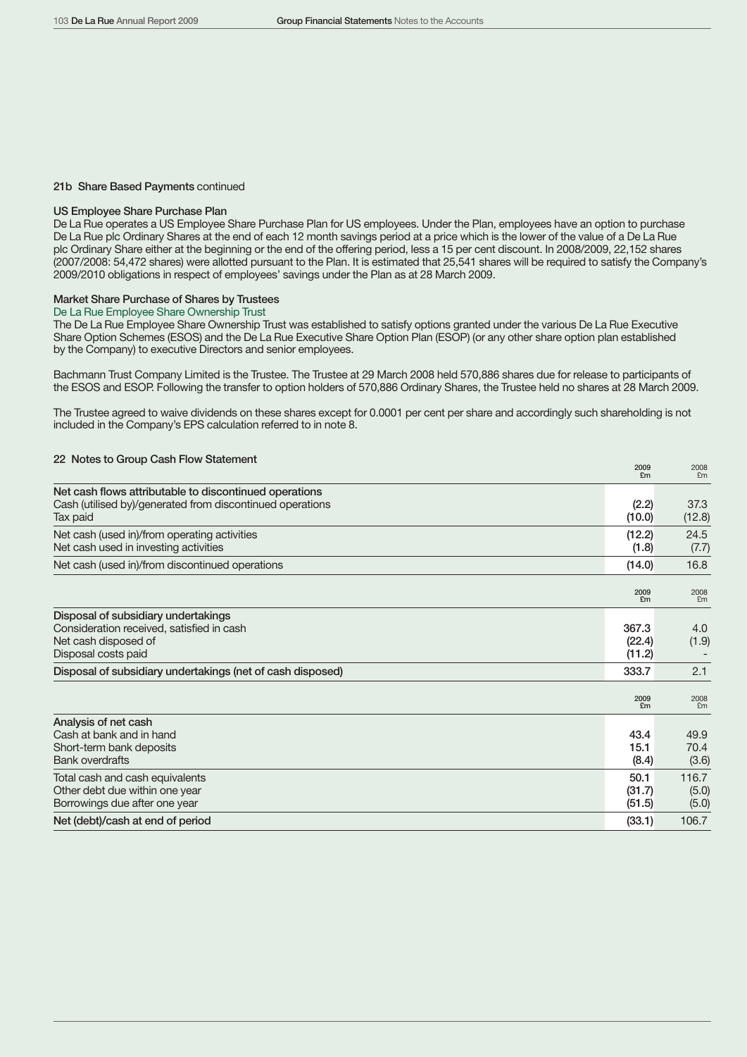#### 21b Share Based Payments continued

### US Employee Share Purchase Plan

De La Rue operates a US Employee Share Purchase Plan for US employees. Under the Plan, employees have an option to purchase De La Rue plc Ordinary Shares at the end of each 12 month savings period at a price which is the lower of the value of a De La Rue plc Ordinary Share either at the beginning or the end of the offering period, less a 15 per cent discount. In 2008/2009, 22,152 shares (2007/2008: 54,472 shares) were allotted pursuant to the Plan. It is estimated that 25,541 shares will be required to satisfy the Company's 2009/2010 obligations in respect of employees' savings under the Plan as at 28 March 2009.

#### Market Share Purchase of Shares by Trustees

#### De La Rue Employee Share Ownership Trust

The De La Rue Employee Share Ownership Trust was established to satisfy options granted under the various De La Rue Executive Share Option Schemes (ESOS) and the De La Rue Executive Share Option Plan (ESOP) (or any other share option plan established by the Company) to executive Directors and senior employees.

Bachmann Trust Company Limited is the Trustee. The Trustee at 29 March 2008 held 570,886 shares due for release to participants of the ESOS and ESOP. Following the transfer to option holders of 570,886 Ordinary Shares, the Trustee held no shares at 28 March 2009.

The Trustee agreed to waive dividends on these shares except for 0.0001 per cent per share and accordingly such shareholding is not included in the Company's EPS calculation referred to in note 8.

# <sup>22</sup> Notes to Group Cash Flow Statement <sup>2009</sup> <sup>2008</sup>

|                                                                                                                                 | ⊷∪∪<br>£m                 | LUUU<br>£m              |
|---------------------------------------------------------------------------------------------------------------------------------|---------------------------|-------------------------|
| Net cash flows attributable to discontinued operations<br>Cash (utilised by)/generated from discontinued operations<br>Tax paid | (2.2)<br>(10.0)           | 37.3<br>(12.8)          |
| Net cash (used in)/from operating activities<br>Net cash used in investing activities                                           | (12.2)<br>(1.8)           | 24.5<br>(7.7)           |
| Net cash (used in)/from discontinued operations                                                                                 | (14.0)                    | 16.8                    |
|                                                                                                                                 | 2009<br>£m                | 2008<br>Em              |
| Disposal of subsidiary undertakings<br>Consideration received, satisfied in cash<br>Net cash disposed of<br>Disposal costs paid | 367.3<br>(22.4)<br>(11.2) | 4.0<br>(1.9)            |
| Disposal of subsidiary undertakings (net of cash disposed)                                                                      | 333.7                     | 2.1                     |
|                                                                                                                                 | 2009<br>£m                | 2008<br>£m              |
| Analysis of net cash<br>Cash at bank and in hand<br>Short-term bank deposits<br><b>Bank overdrafts</b>                          | 43.4<br>15.1<br>(8.4)     | 49.9<br>70.4<br>(3.6)   |
| Total cash and cash equivalents<br>Other debt due within one year<br>Borrowings due after one year                              | 50.1<br>(31.7)<br>(51.5)  | 116.7<br>(5.0)<br>(5.0) |
| Net (debt)/cash at end of period                                                                                                | (33.1)                    | 106.7                   |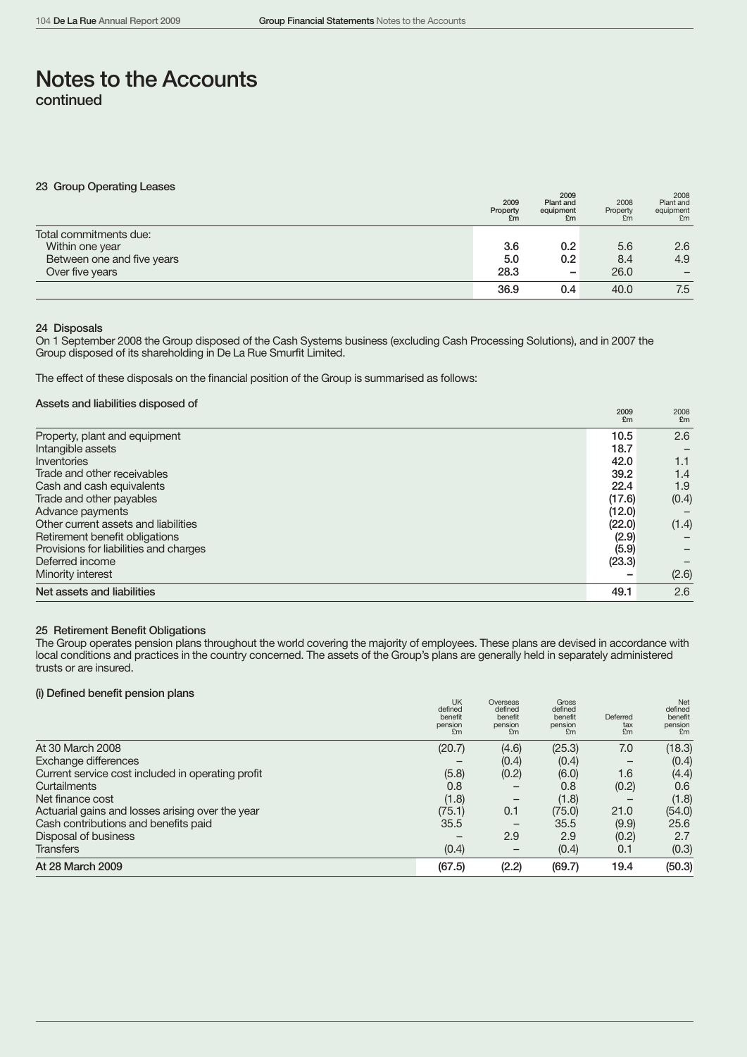| 23 Group Operating Leases  | 2009<br>Property<br>£m | 2009<br>Plant and<br>equipment<br>£m | 2008<br>Property<br>£m | 2008<br>Plant and<br>equipment<br>£m |
|----------------------------|------------------------|--------------------------------------|------------------------|--------------------------------------|
| Total commitments due:     |                        |                                      |                        |                                      |
| Within one year            | 3.6                    | 0.2                                  | 5.6                    | 2.6                                  |
| Between one and five years | 5.0                    | 0.2                                  | 8.4                    | 4.9                                  |
| Over five years            | 28.3                   | -                                    | 26.0                   |                                      |
|                            | 36.9                   | 0.4                                  | 40.0                   | 7.5                                  |

# 24 Disposals

On 1 September 2008 the Group disposed of the Cash Systems business (excluding Cash Processing Solutions), and in 2007 the Group disposed of its shareholding in De La Rue Smurfit Limited.

The effect of these disposals on the financial position of the Group is summarised as follows:

# Assets and liabilities disposed of

| Net assets and liabilities             | 49.1              | 2.6               |
|----------------------------------------|-------------------|-------------------|
| Minority interest                      |                   | (2.6)             |
| Deferred income                        | (23.3)            |                   |
| Provisions for liabilities and charges | (5.9)             |                   |
| Retirement benefit obligations         | (2.9)             |                   |
| Other current assets and liabilities   | (22.0)            | (1.4)             |
| Advance payments                       | (12.0)            |                   |
| Trade and other payables               | (17.6)            | (0.4)             |
| Cash and cash equivalents              | 22.4              | 1.9               |
| Trade and other receivables            | 39.2              | 1.4               |
| Inventories                            | 42.0              | 1.1               |
| Intangible assets                      | 18.7              |                   |
| Property, plant and equipment          | 10.5              | 2.6               |
|                                        | <b>ZUUY</b><br>£m | <b>ZUU8</b><br>Em |

# 25 Retirement Benefit Obligations

The Group operates pension plans throughout the world covering the majority of employees. These plans are devised in accordance with local conditions and practices in the country concerned. The assets of the Group's plans are generally held in separately administered trusts or are insured.

# (i) Defined benefit pension plans

|                                                   | UK<br>defined<br>benefit<br>pension<br>£m | Overseas<br>defined<br>benefit<br>pension<br>£m | Gross<br>defined<br>benefit<br>pension<br>£m | Deferred<br>tax<br>£m | Net<br>defined<br>benefit<br>pension<br>£m |
|---------------------------------------------------|-------------------------------------------|-------------------------------------------------|----------------------------------------------|-----------------------|--------------------------------------------|
| At 30 March 2008                                  | (20.7)                                    | (4.6)                                           | (25.3)                                       | 7.0                   | (18.3)                                     |
| <b>Exchange differences</b>                       |                                           | (0.4)                                           | (0.4)                                        |                       | (0.4)                                      |
| Current service cost included in operating profit | (5.8)                                     | (0.2)                                           | (6.0)                                        | 1.6                   | (4.4)                                      |
| Curtailments                                      | 0.8                                       |                                                 | 0.8                                          | (0.2)                 | 0.6                                        |
| Net finance cost                                  | (1.8)                                     | $\overline{\phantom{m}}$                        | (1.8)                                        |                       | (1.8)                                      |
| Actuarial gains and losses arising over the year  | (75.1)                                    | 0.1                                             | (75.0)                                       | 21.0                  | (54.0)                                     |
| Cash contributions and benefits paid              | 35.5                                      |                                                 | 35.5                                         | (9.9)                 | 25.6                                       |
| Disposal of business                              |                                           | 2.9                                             | 2.9                                          | (0.2)                 | 2.7                                        |
| <b>Transfers</b>                                  | (0.4)                                     |                                                 | (0.4)                                        | 0.1                   | (0.3)                                      |
| At 28 March 2009                                  | (67.5)                                    | (2.2)                                           | (69.7)                                       | 19.4                  | (50.3)                                     |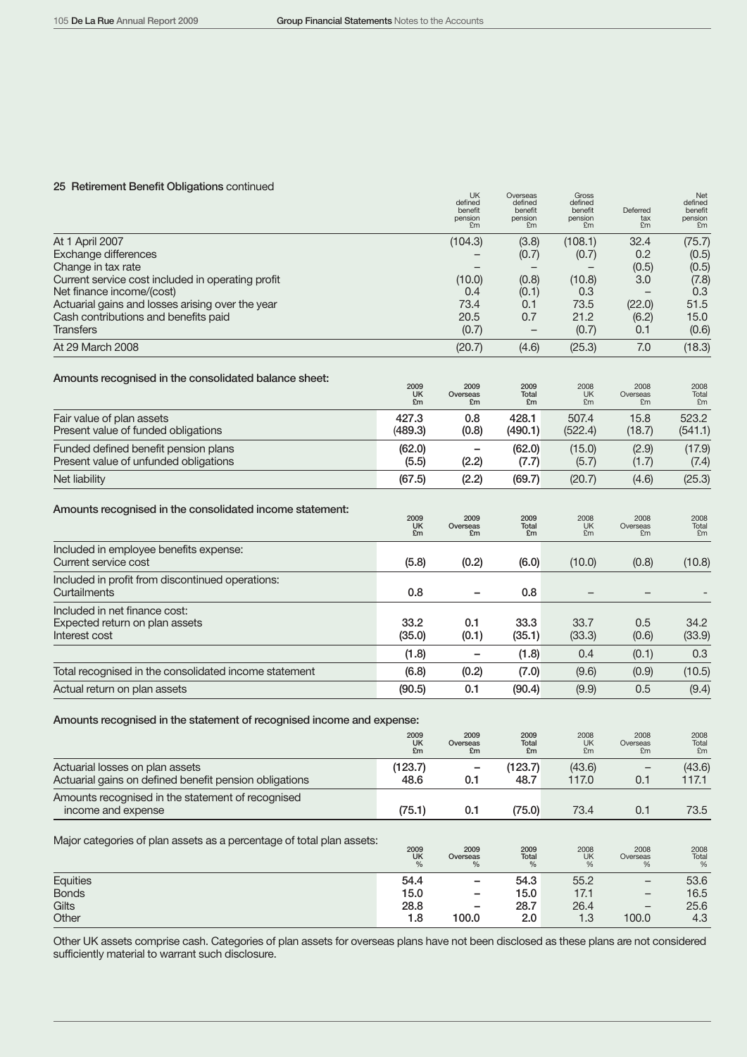# 25 Retirement Benefit Obligations continued Net defined UK Overseas Gross Gross Net

|                                                                                           |                         | defined<br>benefit<br>pension<br>£m | defined<br>benefit<br>pension<br>£m | defined<br>benefit<br>pension<br>£m | Deferred<br>tax<br>£m  | defined<br>benefit<br>pension<br>£m                       |
|-------------------------------------------------------------------------------------------|-------------------------|-------------------------------------|-------------------------------------|-------------------------------------|------------------------|-----------------------------------------------------------|
| At 1 April 2007<br>Exchange differences<br>Change in tax rate                             |                         | (104.3)                             | (3.8)<br>(0.7)                      | (108.1)<br>(0.7)                    | 32.4<br>0.2<br>(0.5)   | (75.7)<br>(0.5)<br>(0.5)                                  |
| Current service cost included in operating profit<br>Net finance income/(cost)            |                         | (10.0)<br>0.4                       | (0.8)<br>(0.1)                      | (10.8)<br>0.3                       | 3.0                    | (7.8)<br>0.3                                              |
| Actuarial gains and losses arising over the year                                          |                         | 73.4                                | 0.1                                 | 73.5                                | (22.0)                 | 51.5                                                      |
| Cash contributions and benefits paid<br><b>Transfers</b>                                  |                         | 20.5<br>(0.7)                       | 0.7<br>$\qquad \qquad -$            | 21.2<br>(0.7)                       | (6.2)<br>0.1           | 15.0<br>(0.6)                                             |
| At 29 March 2008                                                                          |                         | (20.7)                              | (4.6)                               | (25.3)                              | 7.0                    | (18.3)                                                    |
|                                                                                           |                         |                                     |                                     |                                     |                        |                                                           |
| Amounts recognised in the consolidated balance sheet:                                     | 2009<br><b>UK</b><br>£m | 2009<br>Overseas<br>£m              | 2009<br>Total<br>£m                 | 2008<br><b>UK</b><br>£m             | 2008<br>Overseas<br>£m | 2008<br>Total<br>£m                                       |
| Fair value of plan assets<br>Present value of funded obligations                          | 427.3<br>(489.3)        | 0.8<br>(0.8)                        | 428.1<br>(490.1)                    | 507.4<br>(522.4)                    | 15.8<br>(18.7)         | 523.2<br>(541.1)                                          |
| Funded defined benefit pension plans                                                      | (62.0)                  | -                                   | (62.0)                              | (15.0)                              | (2.9)                  | (17.9)                                                    |
| Present value of unfunded obligations                                                     | (5.5)                   | (2.2)                               | (7.7)                               | (5.7)                               | (1.7)                  | (7.4)                                                     |
| Net liability                                                                             | (67.5)                  | (2.2)                               | (69.7)                              | (20.7)                              | (4.6)                  | (25.3)                                                    |
| Amounts recognised in the consolidated income statement:                                  | 2009<br><b>UK</b><br>£m | 2009<br>Overseas<br>£m              | 2009<br><b>Total</b><br>£m          | 2008<br><b>UK</b><br>£m             | 2008<br>Overseas<br>£m | 2008<br>Total<br>£m                                       |
| Included in employee benefits expense:<br>Current service cost                            | (5.8)                   | (0.2)                               | (6.0)                               | (10.0)                              | (0.8)                  | (10.8)                                                    |
| Included in profit from discontinued operations:<br>Curtailments                          | 0.8                     |                                     | 0.8                                 |                                     |                        |                                                           |
| Included in net finance cost:<br>Expected return on plan assets<br>Interest cost          | 33.2<br>(35.0)          | 0.1<br>(0.1)                        | 33.3<br>(35.1)                      | 33.7<br>(33.3)                      | 0.5<br>(0.6)           | 34.2<br>(33.9)                                            |
|                                                                                           | (1.8)                   | -                                   | (1.8)                               | 0.4                                 | (0.1)                  | 0.3                                                       |
| Total recognised in the consolidated income statement                                     | (6.8)                   | (0.2)                               | (7.0)                               | (9.6)                               | (0.9)                  | (10.5)                                                    |
| Actual return on plan assets                                                              | (90.5)                  | 0.1                                 | (90.4)                              | (9.9)                               | 0.5                    | (9.4)                                                     |
| Amounts recognised in the statement of recognised income and expense:                     |                         |                                     |                                     |                                     |                        |                                                           |
|                                                                                           | 2009<br><b>UK</b><br>£m | 2009<br>Overseas<br>£m              | 2009<br><b>Total</b><br>£m          | 2008<br><b>UK</b><br>£m             | 2008<br>Overseas<br>£m | 2008<br>Total<br>£m                                       |
| Actuarial losses on plan assets<br>Actuarial gains on defined benefit pension obligations | (123.7)<br>48.6         | -<br>0.1                            | (123.7)<br>48.7                     | (43.6)<br>117.0                     | 0.1                    | (43.6)<br>117.1                                           |
| Amounts recognised in the statement of recognised<br>income and expense                   | (75.1)                  | 0.1                                 | (75.0)                              | 73.4                                | 0.1                    | 73.5                                                      |
| Major categories of plan assets as a percentage of total plan assets:                     | 2009<br>UK<br>$\%$      | 2009<br>Overseas<br>$\%$            | $2009$ Total<br>%                   | $2008$ UK<br>%                      | 2008<br>Overseas<br>%  | $\begin{array}{l} 2008 \\ \text{Total} \\ \% \end{array}$ |
| Equities                                                                                  | 54.4                    |                                     | 54.3                                | 55.2                                |                        | 53.6                                                      |
| <b>Bonds</b>                                                                              | 15.0                    |                                     | 15.0                                | 17.1                                |                        | 16.5                                                      |
| Gilts<br>Other                                                                            | 28.8<br>1.8             | 100.0                               | 28.7<br>2.0                         | 26.4<br>1.3                         | 100.0                  | 25.6<br>4.3                                               |
|                                                                                           |                         |                                     |                                     |                                     |                        |                                                           |

Other UK assets comprise cash. Categories of plan assets for overseas plans have not been disclosed as these plans are not considered sufficiently material to warrant such disclosure.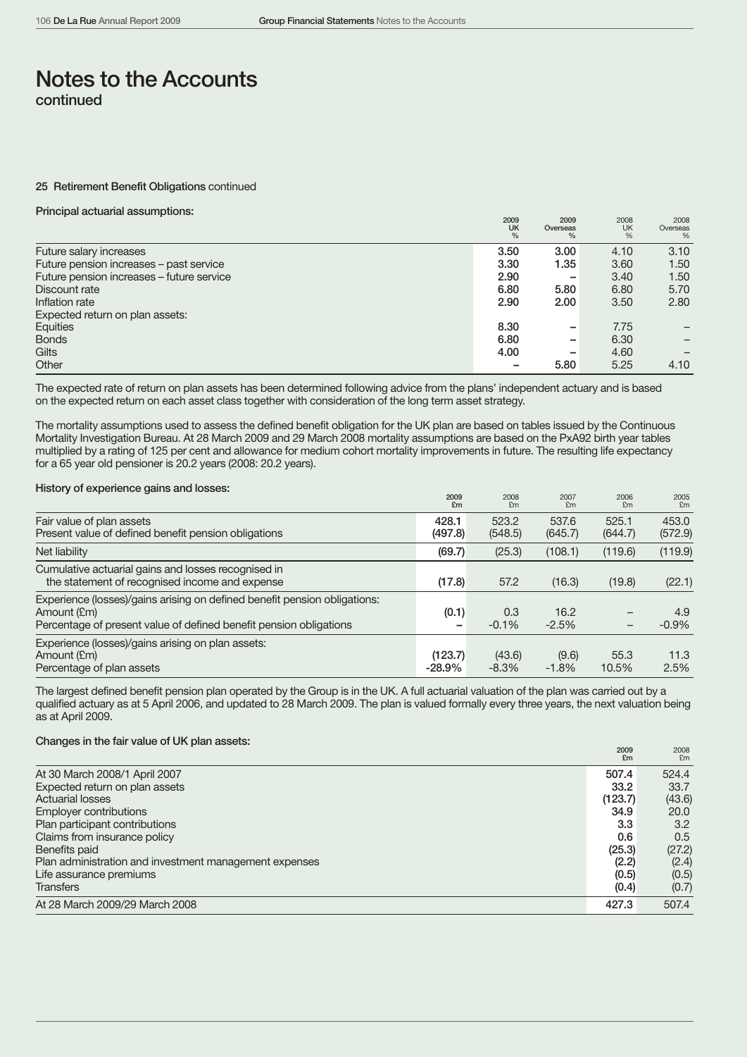#### 25 Retirement Benefit Obligations continued

### Principal actuarial assumptions:

|                                           | 2009<br><b>UK</b><br>$\frac{0}{0}$ | 2009<br>Overseas<br>$\%$ | 2008<br>UK<br>% | 2008<br>Overseas<br>% |
|-------------------------------------------|------------------------------------|--------------------------|-----------------|-----------------------|
| Future salary increases                   | 3.50                               | 3.00                     | 4.10            | 3.10                  |
| Future pension increases - past service   | 3.30                               | 1.35                     | 3.60            | 1.50                  |
| Future pension increases – future service | 2.90                               | -                        | 3.40            | 1.50                  |
| Discount rate                             | 6.80                               | 5.80                     | 6.80            | 5.70                  |
| Inflation rate                            | 2.90                               | 2.00                     | 3.50            | 2.80                  |
| Expected return on plan assets:           |                                    |                          |                 |                       |
| Equities                                  | 8.30                               | -                        | 7.75            |                       |
| <b>Bonds</b>                              | 6.80                               | -                        | 6.30            |                       |
| Gilts                                     | 4.00                               | -                        | 4.60            |                       |
| Other                                     |                                    | 5.80                     | 5.25            | 4.10                  |

The expected rate of return on plan assets has been determined following advice from the plans' independent actuary and is based on the expected return on each asset class together with consideration of the long term asset strategy.

The mortality assumptions used to assess the defined benefit obligation for the UK plan are based on tables issued by the Continuous Mortality Investigation Bureau. At 28 March 2009 and 29 March 2008 mortality assumptions are based on the PxA92 birth year tables multiplied by a rating of 125 per cent and allowance for medium cohort mortality improvements in future. The resulting life expectancy for a 65 year old pensioner is 20.2 years (2008: 20.2 years).

### History of experience gains and losses:

|                                                                                                                                                                | 2009<br>£m           | 2008<br>£m        | 2007<br>£m       | 2006<br>£m        | 2005<br>£m       |
|----------------------------------------------------------------------------------------------------------------------------------------------------------------|----------------------|-------------------|------------------|-------------------|------------------|
| Fair value of plan assets<br>Present value of defined benefit pension obligations                                                                              | 428.1<br>(497.8)     | 523.2<br>(548.5)  | 537.6<br>(645.7) | 525.1<br>(644.7)  | 453.0<br>(572.9) |
| Net liability                                                                                                                                                  | (69.7)               | (25.3)            | (108.1)          | (119.6)           | (119.9)          |
| Cumulative actuarial gains and losses recognised in<br>the statement of recognised income and expense                                                          | (17.8)               | 57.2              | (16.3)           | (19.8)            | (22.1)           |
| Experience (losses)/gains arising on defined benefit pension obligations:<br>Amount (£m)<br>Percentage of present value of defined benefit pension obligations | (0.1)<br>-           | 0.3<br>$-0.1%$    | 16.2<br>$-2.5%$  | $\qquad \qquad -$ | 4.9<br>$-0.9%$   |
| Experience (losses)/gains arising on plan assets:<br>Amount (£m)<br>Percentage of plan assets                                                                  | (123.7)<br>$-28.9\%$ | (43.6)<br>$-8.3%$ | (9.6)<br>$-1.8%$ | 55.3<br>10.5%     | 11.3<br>2.5%     |

The largest defined benefit pension plan operated by the Group is in the UK. A full actuarial valuation of the plan was carried out by a qualified actuary as at 5 April 2006, and updated to 28 March 2009. The plan is valued formally every three years, the next valuation being as at April 2009.

# Changes in the fair value of UK plan assets:

|                                                        | <b>ZOOA</b><br>£m | <b>ZUUS</b><br>£m |
|--------------------------------------------------------|-------------------|-------------------|
| At 30 March 2008/1 April 2007                          | 507.4             | 524.4             |
| Expected return on plan assets                         | 33.2              | 33.7              |
| <b>Actuarial losses</b>                                | (123.7)           | (43.6)            |
| Employer contributions                                 | 34.9              | 20.0              |
| Plan participant contributions                         | 3.3               | 3.2               |
| Claims from insurance policy                           | 0.6               | 0.5               |
| Benefits paid                                          | (25.3)            | (27.2)            |
| Plan administration and investment management expenses | (2.2)             | (2.4)             |
| Life assurance premiums                                | (0.5)             | (0.5)             |
| <b>Transfers</b>                                       | (0.4)             | (0.7)             |
| At 28 March 2009/29 March 2008                         | 427.3             | 507.4             |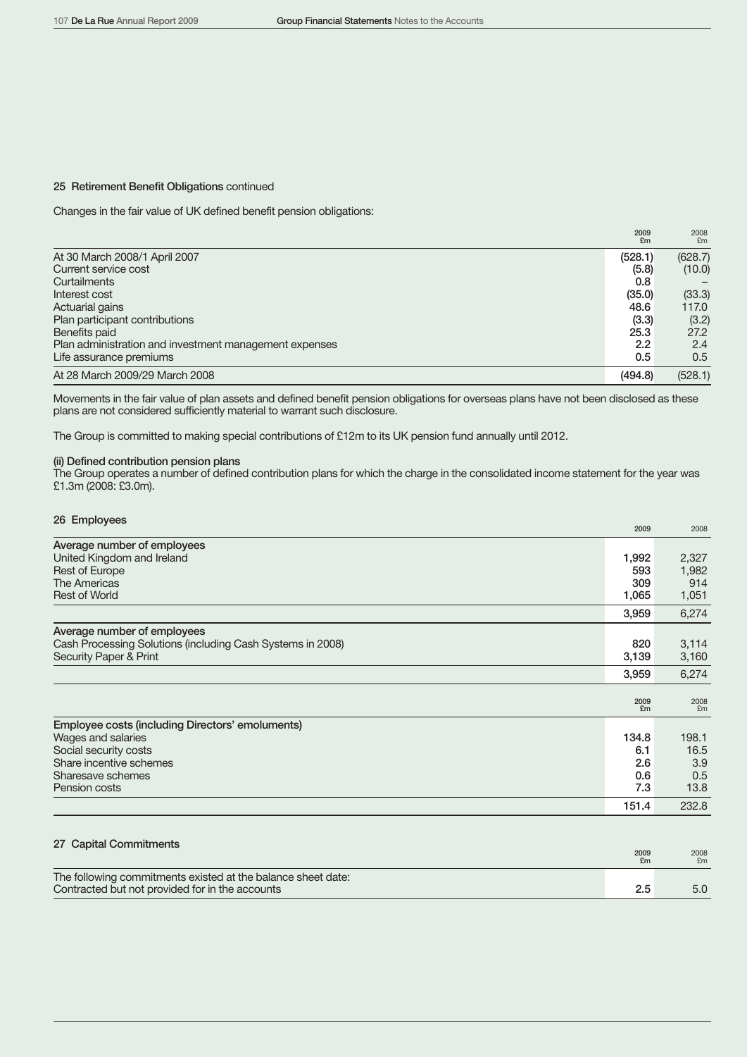### 25 Retirement Benefit Obligations continued

Changes in the fair value of UK defined benefit pension obligations:

|                                                        | 2009<br>£m | 2008<br>Em    |
|--------------------------------------------------------|------------|---------------|
| At 30 March 2008/1 April 2007                          | (528.1)    | (628.7)       |
| Current service cost                                   | (5.8)      | (10.0)        |
| Curtailments                                           | 0.8        |               |
| Interest cost                                          | (35.0)     | (33.3)        |
| Actuarial gains                                        | 48.6       | 117.0         |
| Plan participant contributions                         | (3.3)      | (3.2)         |
| Benefits paid                                          | 25.3       | 27.2          |
| Plan administration and investment management expenses | 2.2        | 2.4           |
| Life assurance premiums                                | 0.5        | $0.5^{\circ}$ |
| At 28 March 2009/29 March 2008                         | (494.8)    | (528.1)       |

Movements in the fair value of plan assets and defined benefit pension obligations for overseas plans have not been disclosed as these plans are not considered sufficiently material to warrant such disclosure.

The Group is committed to making special contributions of £12m to its UK pension fund annually until 2012.

## (ii) Defined contribution pension plans

The Group operates a number of defined contribution plans for which the charge in the consolidated income statement for the year was £1.3m (2008: £3.0m).

| 26 Employees                                               | 2009       | 2008       |
|------------------------------------------------------------|------------|------------|
| Average number of employees                                |            |            |
| United Kingdom and Ireland                                 | 1,992      | 2,327      |
| Rest of Europe                                             | 593        | 1,982      |
| <b>The Americas</b>                                        | 309        | 914        |
| <b>Rest of World</b>                                       | 1,065      | 1,051      |
|                                                            | 3,959      | 6,274      |
| Average number of employees                                |            |            |
| Cash Processing Solutions (including Cash Systems in 2008) | 820        | 3,114      |
| Security Paper & Print                                     | 3,139      | 3,160      |
|                                                            | 3,959      | 6,274      |
|                                                            |            |            |
|                                                            | 2009<br>£m | 2008<br>£m |
| Employee costs (including Directors' emoluments)           |            |            |
| Wages and salaries                                         | 134.8      | 198.1      |
| Social security costs                                      | 6.1        | 16.5       |
| Share incentive schemes                                    | 2.6        | 3.9        |
| Sharesave schemes                                          | 0.6        | 0.5        |
| Pension costs                                              | 7.3        | 13.8       |
|                                                            | 151.4      | 232.8      |
|                                                            |            |            |
| 27 Capital Commitments                                     | 2009       |            |
|                                                            | £m         | 2008<br>£m |

|                                                              | £m |
|--------------------------------------------------------------|----|
| The following commitments existed at the balance sheet date: |    |
| Contracted but not provided for in the accounts              |    |